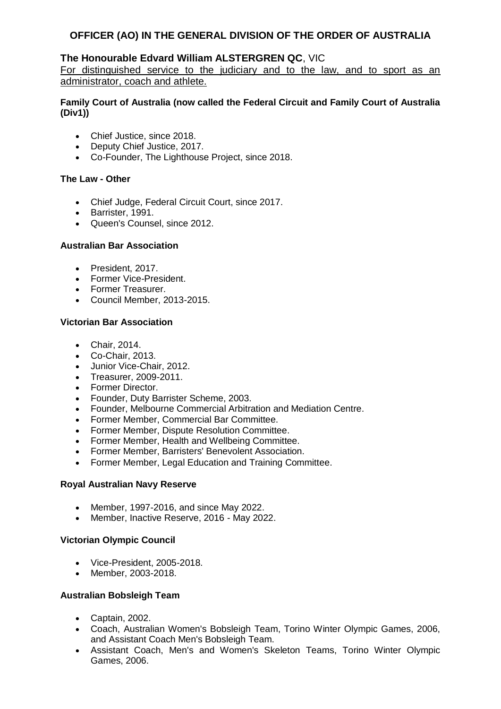## **The Honourable Edvard William ALSTERGREN QC**, VIC

For distinguished service to the judiciary and to the law, and to sport as an administrator, coach and athlete.

## **Family Court of Australia (now called the Federal Circuit and Family Court of Australia (Div1))**

- Chief Justice, since 2018.
- Deputy Chief Justice, 2017.
- Co-Founder, The Lighthouse Project, since 2018.

## **The Law - Other**

- Chief Judge, Federal Circuit Court, since 2017.
- Barrister, 1991.
- Queen's Counsel, since 2012.

## **Australian Bar Association**

- President, 2017.
- Former Vice-President.
- Former Treasurer.
- Council Member, 2013-2015.

## **Victorian Bar Association**

- Chair, 2014.
- Co-Chair, 2013.
- Junior Vice-Chair, 2012.
- Treasurer, 2009-2011.
- Former Director.
- Founder, Duty Barrister Scheme, 2003.
- Founder, Melbourne Commercial Arbitration and Mediation Centre.
- Former Member, Commercial Bar Committee.
- Former Member, Dispute Resolution Committee.
- Former Member, Health and Wellbeing Committee.
- Former Member, Barristers' Benevolent Association.
- Former Member, Legal Education and Training Committee.

#### **Royal Australian Navy Reserve**

- Member, 1997-2016, and since May 2022.
- Member, Inactive Reserve, 2016 May 2022.

#### **Victorian Olympic Council**

- Vice-President, 2005-2018.
- Member, 2003-2018.

## **Australian Bobsleigh Team**

- Captain, 2002.
- Coach, Australian Women's Bobsleigh Team, Torino Winter Olympic Games, 2006, and Assistant Coach Men's Bobsleigh Team.
- Assistant Coach, Men's and Women's Skeleton Teams, Torino Winter Olympic Games, 2006.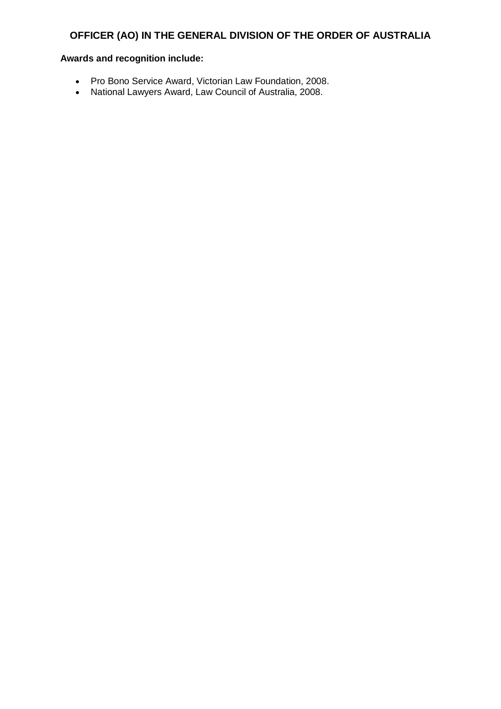- Pro Bono Service Award, Victorian Law Foundation, 2008.
- National Lawyers Award, Law Council of Australia, 2008.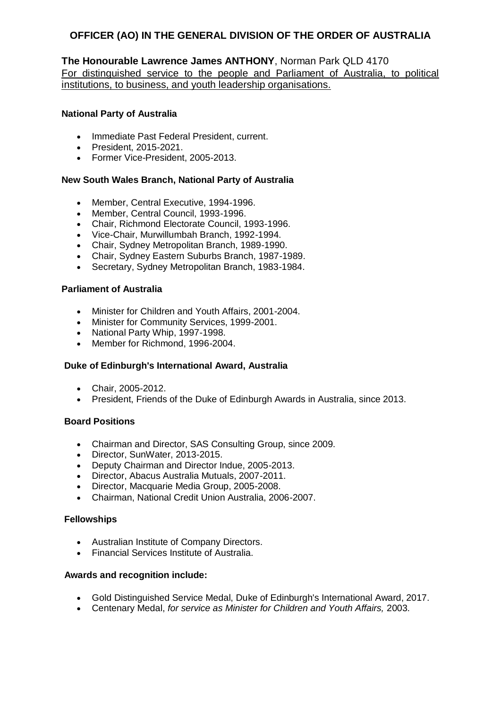## **The Honourable Lawrence James ANTHONY**, Norman Park QLD 4170

For distinguished service to the people and Parliament of Australia, to political institutions, to business, and youth leadership organisations.

## **National Party of Australia**

- Immediate Past Federal President, current.
- President, 2015-2021.
- Former Vice-President, 2005-2013.

#### **New South Wales Branch, National Party of Australia**

- Member, Central Executive, 1994-1996.
- Member, Central Council, 1993-1996.
- Chair, Richmond Electorate Council, 1993-1996.
- Vice-Chair, Murwillumbah Branch, 1992-1994.
- Chair, Sydney Metropolitan Branch, 1989-1990.
- Chair, Sydney Eastern Suburbs Branch, 1987-1989.
- Secretary, Sydney Metropolitan Branch, 1983-1984.

#### **Parliament of Australia**

- Minister for Children and Youth Affairs, 2001-2004.
- Minister for Community Services, 1999-2001.
- National Party Whip, 1997-1998.
- Member for Richmond, 1996-2004.

#### **Duke of Edinburgh's International Award, Australia**

- Chair, 2005-2012.
- President, Friends of the Duke of Edinburgh Awards in Australia, since 2013.

#### **Board Positions**

- Chairman and Director, SAS Consulting Group, since 2009.
- Director, SunWater, 2013-2015.
- Deputy Chairman and Director Indue, 2005-2013.
- Director, Abacus Australia Mutuals, 2007-2011.
- Director, Macquarie Media Group, 2005-2008.
- Chairman, National Credit Union Australia, 2006-2007.

#### **Fellowships**

- Australian Institute of Company Directors.
- Financial Services Institute of Australia.

- Gold Distinguished Service Medal, Duke of Edinburgh's International Award, 2017.
- Centenary Medal, *for service as Minister for Children and Youth Affairs,* 2003.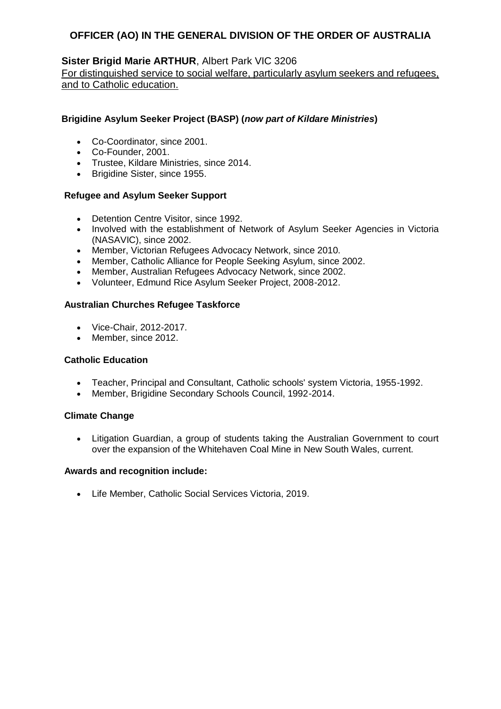## **Sister Brigid Marie ARTHUR**, Albert Park VIC 3206

For distinguished service to social welfare, particularly asylum seekers and refugees, and to Catholic education.

## **Brigidine Asylum Seeker Project (BASP) (***now part of Kildare Ministries***)**

- Co-Coordinator, since 2001.
- Co-Founder, 2001.
- Trustee, Kildare Ministries, since 2014.
- **Brigidine Sister, since 1955.**

#### **Refugee and Asylum Seeker Support**

- Detention Centre Visitor, since 1992.
- Involved with the establishment of Network of Asylum Seeker Agencies in Victoria (NASAVIC), since 2002.
- Member, Victorian Refugees Advocacy Network, since 2010.
- Member, Catholic Alliance for People Seeking Asylum, since 2002.
- Member, Australian Refugees Advocacy Network, since 2002.
- Volunteer, Edmund Rice Asylum Seeker Project, 2008-2012.

#### **Australian Churches Refugee Taskforce**

- Vice-Chair, 2012-2017.
- Member, since 2012.

#### **Catholic Education**

- Teacher, Principal and Consultant, Catholic schools' system Victoria, 1955-1992.
- Member, Brigidine Secondary Schools Council, 1992-2014.

#### **Climate Change**

 Litigation Guardian, a group of students taking the Australian Government to court over the expansion of the Whitehaven Coal Mine in New South Wales, current.

#### **Awards and recognition include:**

Life Member, Catholic Social Services Victoria, 2019.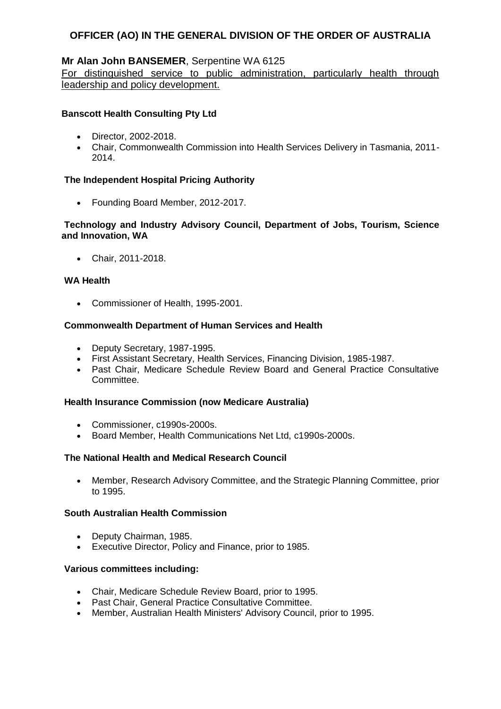## **Mr Alan John BANSEMER**, Serpentine WA 6125

For distinguished service to public administration, particularly health through leadership and policy development.

## **Banscott Health Consulting Pty Ltd**

- Director, 2002-2018.
- Chair, Commonwealth Commission into Health Services Delivery in Tasmania, 2011- 2014.

#### **The Independent Hospital Pricing Authority**

Founding Board Member, 2012-2017.

## **Technology and Industry Advisory Council, Department of Jobs, Tourism, Science and Innovation, WA**

Chair, 2011-2018.

#### **WA Health**

Commissioner of Health, 1995-2001.

#### **Commonwealth Department of Human Services and Health**

- Deputy Secretary, 1987-1995.
- First Assistant Secretary, Health Services, Financing Division, 1985-1987.
- Past Chair, Medicare Schedule Review Board and General Practice Consultative Committee.

#### **Health Insurance Commission (now Medicare Australia)**

- Commissioner, c1990s-2000s.
- Board Member, Health Communications Net Ltd, c1990s-2000s.

#### **The National Health and Medical Research Council**

 Member, Research Advisory Committee, and the Strategic Planning Committee, prior to 1995.

## **South Australian Health Commission**

- Deputy Chairman, 1985.
- Executive Director, Policy and Finance, prior to 1985.

#### **Various committees including:**

- Chair, Medicare Schedule Review Board, prior to 1995.
- Past Chair, General Practice Consultative Committee.
- Member, Australian Health Ministers' Advisory Council, prior to 1995.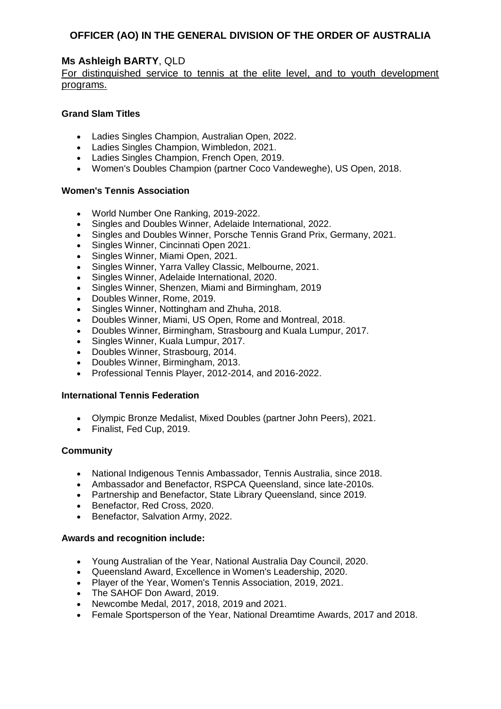## **Ms Ashleigh BARTY**, QLD

## For distinguished service to tennis at the elite level, and to youth development programs.

## **Grand Slam Titles**

- Ladies Singles Champion, Australian Open, 2022.
- Ladies Singles Champion, Wimbledon, 2021.
- Ladies Singles Champion, French Open, 2019.
- Women's Doubles Champion (partner Coco Vandeweghe), US Open, 2018.

#### **Women's Tennis Association**

- World Number One Ranking, 2019-2022.
- Singles and Doubles Winner, Adelaide International, 2022.
- Singles and Doubles Winner, Porsche Tennis Grand Prix, Germany, 2021.
- Singles Winner, Cincinnati Open 2021.
- Singles Winner, Miami Open, 2021.
- Singles Winner, Yarra Valley Classic, Melbourne, 2021.
- Singles Winner, Adelaide International, 2020.
- Singles Winner, Shenzen, Miami and Birmingham, 2019
- Doubles Winner, Rome, 2019.
- Singles Winner, Nottingham and Zhuha, 2018.
- Doubles Winner, Miami, US Open, Rome and Montreal, 2018.
- Doubles Winner, Birmingham, Strasbourg and Kuala Lumpur, 2017.
- Singles Winner, Kuala Lumpur, 2017.
- Doubles Winner, Strasbourg, 2014.
- Doubles Winner, Birmingham, 2013.
- Professional Tennis Player, 2012-2014, and 2016-2022.

#### **International Tennis Federation**

- Olympic Bronze Medalist, Mixed Doubles (partner John Peers), 2021.
- Finalist, Fed Cup, 2019.

#### **Community**

- National Indigenous Tennis Ambassador, Tennis Australia, since 2018.
- Ambassador and Benefactor, RSPCA Queensland, since late-2010s.
- Partnership and Benefactor, State Library Queensland, since 2019.
- Benefactor, Red Cross, 2020.
- Benefactor, Salvation Army, 2022.

- Young Australian of the Year, National Australia Day Council, 2020.
- Queensland Award, Excellence in Women's Leadership, 2020.
- Player of the Year, Women's Tennis Association, 2019, 2021.
- The SAHOF Don Award, 2019.
- Newcombe Medal, 2017, 2018, 2019 and 2021.
- Female Sportsperson of the Year, National Dreamtime Awards, 2017 and 2018.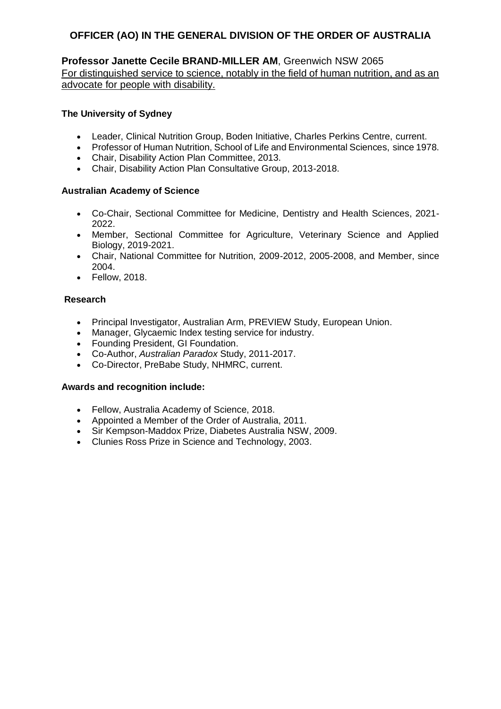## **Professor Janette Cecile BRAND-MILLER AM**, Greenwich NSW 2065

For distinguished service to science, notably in the field of human nutrition, and as an advocate for people with disability.

### **The University of Sydney**

- Leader, Clinical Nutrition Group, Boden Initiative, Charles Perkins Centre, current.
- Professor of Human Nutrition, School of Life and Environmental Sciences, since 1978.
- Chair, Disability Action Plan Committee, 2013.
- Chair, Disability Action Plan Consultative Group, 2013-2018.

#### **Australian Academy of Science**

- Co-Chair, Sectional Committee for Medicine, Dentistry and Health Sciences, 2021- 2022.
- Member, Sectional Committee for Agriculture, Veterinary Science and Applied Biology, 2019-2021.
- Chair, National Committee for Nutrition, 2009-2012, 2005-2008, and Member, since 2004.
- Fellow, 2018.

## **Research**

- Principal Investigator, Australian Arm, PREVIEW Study, European Union.
- Manager, Glycaemic Index testing service for industry.
- Founding President, GI Foundation.
- Co-Author, *Australian Paradox* Study, 2011-2017.
- Co-Director, PreBabe Study, NHMRC, current.

- Fellow, Australia Academy of Science, 2018.
- Appointed a Member of the Order of Australia, 2011.
- Sir Kempson-Maddox Prize, Diabetes Australia NSW, 2009.
- Clunies Ross Prize in Science and Technology, 2003.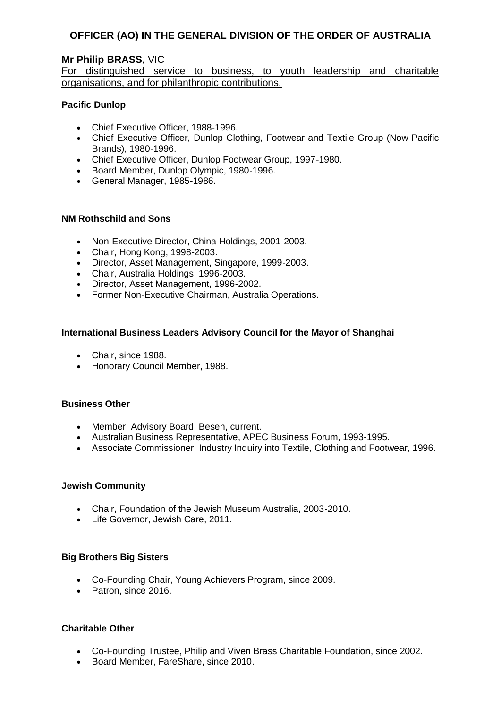## **Mr Philip BRASS**, VIC

## For distinguished service to business, to youth leadership and charitable organisations, and for philanthropic contributions.

#### **Pacific Dunlop**

- Chief Executive Officer, 1988-1996.
- Chief Executive Officer, Dunlop Clothing, Footwear and Textile Group (Now Pacific Brands), 1980-1996.
- Chief Executive Officer, Dunlop Footwear Group, 1997-1980.
- Board Member, Dunlop Olympic, 1980-1996.
- General Manager, 1985-1986.

#### **NM Rothschild and Sons**

- Non-Executive Director, China Holdings, 2001-2003.
- Chair, Hong Kong, 1998-2003.
- Director, Asset Management, Singapore, 1999-2003.
- Chair, Australia Holdings, 1996-2003.
- Director, Asset Management, 1996-2002.
- Former Non-Executive Chairman, Australia Operations.

#### **International Business Leaders Advisory Council for the Mayor of Shanghai**

- Chair, since 1988.
- Honorary Council Member, 1988.

#### **Business Other**

- Member, Advisory Board, Besen, current.
- Australian Business Representative, APEC Business Forum, 1993-1995.
- Associate Commissioner, Industry Inquiry into Textile, Clothing and Footwear, 1996.

#### **Jewish Community**

- Chair, Foundation of the Jewish Museum Australia, 2003-2010.
- Life Governor, Jewish Care, 2011.

#### **Big Brothers Big Sisters**

- Co-Founding Chair, Young Achievers Program, since 2009.
- Patron, since 2016.

#### **Charitable Other**

- Co-Founding Trustee, Philip and Viven Brass Charitable Foundation, since 2002.
- Board Member, FareShare, since 2010.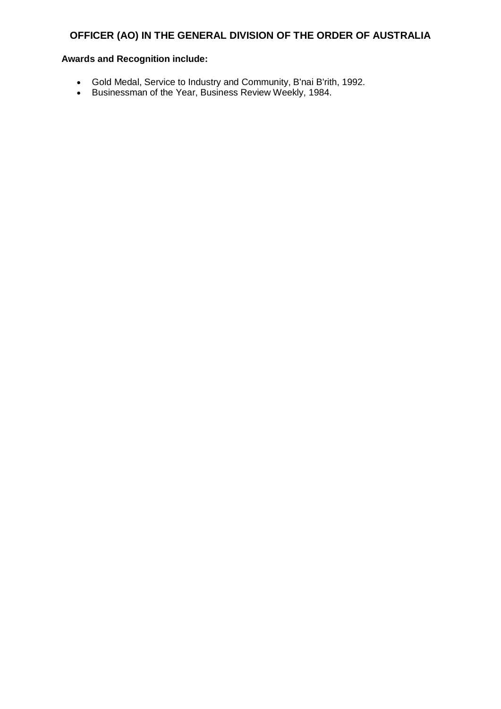- Gold Medal, Service to Industry and Community, B'nai B'rith, 1992.
- Businessman of the Year, Business Review Weekly, 1984.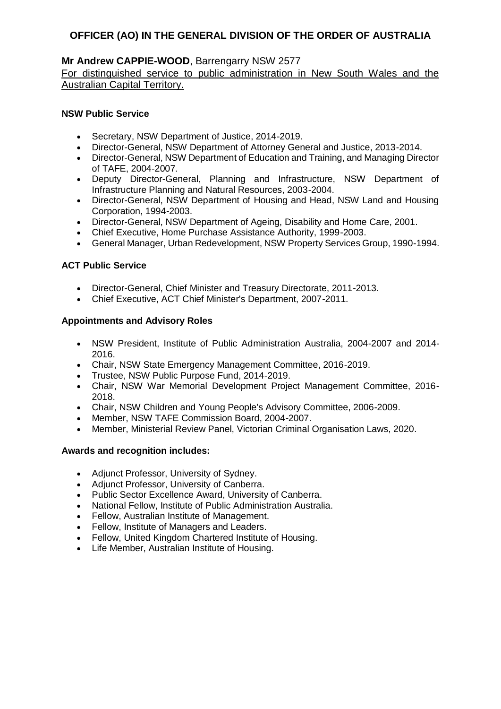## **Mr Andrew CAPPIE-WOOD**, Barrengarry NSW 2577

For distinguished service to public administration in New South Wales and the Australian Capital Territory.

## **NSW Public Service**

- Secretary, NSW Department of Justice, 2014-2019.
- Director-General, NSW Department of Attorney General and Justice, 2013-2014.
- Director-General, NSW Department of Education and Training, and Managing Director of TAFE, 2004-2007.
- Deputy Director-General, Planning and Infrastructure, NSW Department of Infrastructure Planning and Natural Resources, 2003-2004.
- Director-General, NSW Department of Housing and Head, NSW Land and Housing Corporation, 1994-2003.
- Director-General, NSW Department of Ageing, Disability and Home Care, 2001.
- Chief Executive, Home Purchase Assistance Authority, 1999-2003.
- General Manager, Urban Redevelopment, NSW Property Services Group, 1990-1994.

## **ACT Public Service**

- Director-General, Chief Minister and Treasury Directorate, 2011-2013.
- Chief Executive, ACT Chief Minister's Department, 2007-2011.

## **Appointments and Advisory Roles**

- NSW President, Institute of Public Administration Australia, 2004-2007 and 2014- 2016.
- Chair, NSW State Emergency Management Committee, 2016-2019.
- Trustee, NSW Public Purpose Fund, 2014-2019.
- Chair, NSW War Memorial Development Project Management Committee, 2016- 2018.
- Chair, NSW Children and Young People's Advisory Committee, 2006-2009.
- Member, NSW TAFE Commission Board, 2004-2007.
- Member, Ministerial Review Panel, Victorian Criminal Organisation Laws, 2020.

- Adjunct Professor, University of Sydney.
- Adjunct Professor, University of Canberra.
- Public Sector Excellence Award, University of Canberra.
- National Fellow, Institute of Public Administration Australia.
- Fellow, Australian Institute of Management.
- Fellow, Institute of Managers and Leaders.
- Fellow, United Kingdom Chartered Institute of Housing.
- Life Member, Australian Institute of Housing.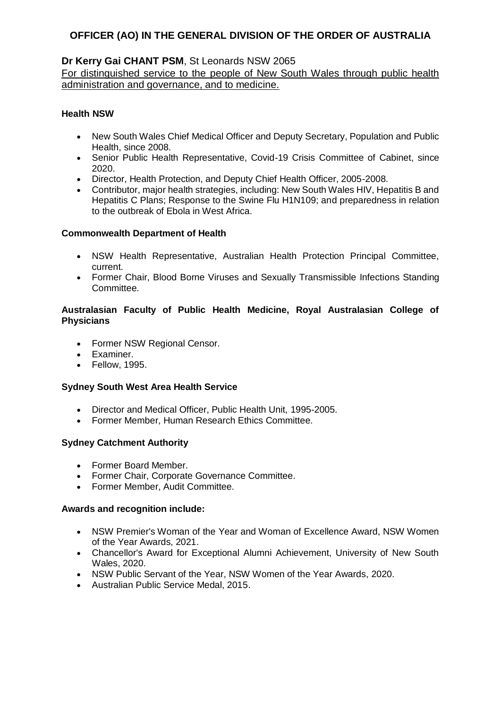## **Dr Kerry Gai CHANT PSM**, St Leonards NSW 2065

For distinguished service to the people of New South Wales through public health administration and governance, and to medicine.

## **Health NSW**

- New South Wales Chief Medical Officer and Deputy Secretary, Population and Public Health, since 2008.
- Senior Public Health Representative, Covid-19 Crisis Committee of Cabinet, since 2020.
- Director, Health Protection, and Deputy Chief Health Officer, 2005-2008.<br>• Contributor, maior health strategies. including: New South Wales HIV. Here
- Contributor, major health strategies, including: New South Wales HIV, Hepatitis B and Hepatitis C Plans; Response to the Swine Flu H1N109; and preparedness in relation to the outbreak of Ebola in West Africa.

#### **Commonwealth Department of Health**

- NSW Health Representative, Australian Health Protection Principal Committee, current.
- Former Chair, Blood Borne Viruses and Sexually Transmissible Infections Standing Committee.

#### **Australasian Faculty of Public Health Medicine, Royal Australasian College of Physicians**

- Former NSW Regional Censor.
- Examiner.
- Fellow, 1995.

#### **Sydney South West Area Health Service**

- Director and Medical Officer, Public Health Unit, 1995-2005.
- Former Member, Human Research Ethics Committee.

#### **Sydney Catchment Authority**

- Former Board Member.
- Former Chair, Corporate Governance Committee.
- Former Member, Audit Committee.

- NSW Premier's Woman of the Year and Woman of Excellence Award, NSW Women of the Year Awards, 2021.
- Chancellor's Award for Exceptional Alumni Achievement, University of New South Wales, 2020.
- NSW Public Servant of the Year, NSW Women of the Year Awards, 2020.
- Australian Public Service Medal, 2015.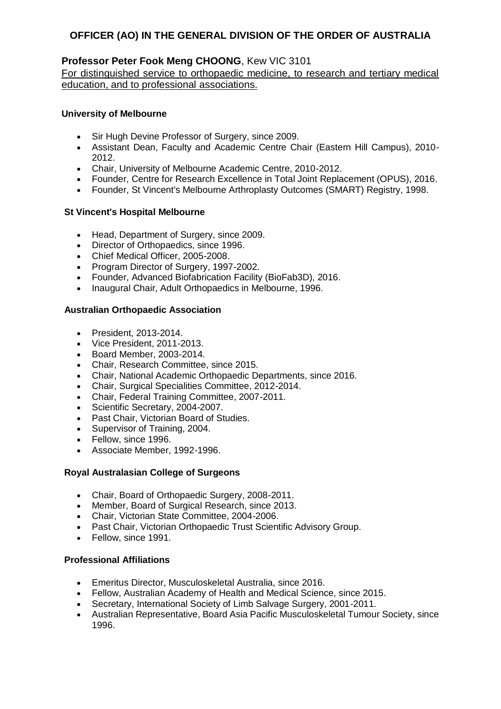## **Professor Peter Fook Meng CHOONG**, Kew VIC 3101

For distinguished service to orthopaedic medicine, to research and tertiary medical education, and to professional associations.

## **University of Melbourne**

- Sir Hugh Devine Professor of Surgery, since 2009.
- Assistant Dean, Faculty and Academic Centre Chair (Eastern Hill Campus), 2010- 2012.
- Chair, University of Melbourne Academic Centre, 2010-2012.
- Founder, Centre for Research Excellence in Total Joint Replacement (OPUS), 2016.
- Founder, St Vincent's Melbourne Arthroplasty Outcomes (SMART) Registry, 1998.

## **St Vincent's Hospital Melbourne**

- Head, Department of Surgery, since 2009.
- Director of Orthopaedics, since 1996.
- Chief Medical Officer, 2005-2008.
- Program Director of Surgery, 1997-2002.
- Founder, Advanced Biofabrication Facility (BioFab3D), 2016.
- Inaugural Chair, Adult Orthopaedics in Melbourne, 1996.

#### **Australian Orthopaedic Association**

- President, 2013-2014.
- Vice President, 2011-2013.
- Board Member, 2003-2014.
- Chair, Research Committee, since 2015.
- Chair, National Academic Orthopaedic Departments, since 2016.
- Chair, Surgical Specialities Committee, 2012-2014.
- Chair, Federal Training Committee, 2007-2011.
- Scientific Secretary, 2004-2007.
- Past Chair, Victorian Board of Studies.
- Supervisor of Training, 2004.
- Fellow, since 1996.
- Associate Member, 1992-1996.

## **Royal Australasian College of Surgeons**

- Chair, Board of Orthopaedic Surgery, 2008-2011.
- Member, Board of Surgical Research, since 2013.
- Chair, Victorian State Committee, 2004-2006.
- Past Chair, Victorian Orthopaedic Trust Scientific Advisory Group.
- Fellow, since 1991.

## **Professional Affiliations**

- Emeritus Director, Musculoskeletal Australia, since 2016.
- Fellow, Australian Academy of Health and Medical Science, since 2015.
- Secretary, International Society of Limb Salvage Surgery, 2001-2011.
- Australian Representative, Board Asia Pacific Musculoskeletal Tumour Society, since 1996.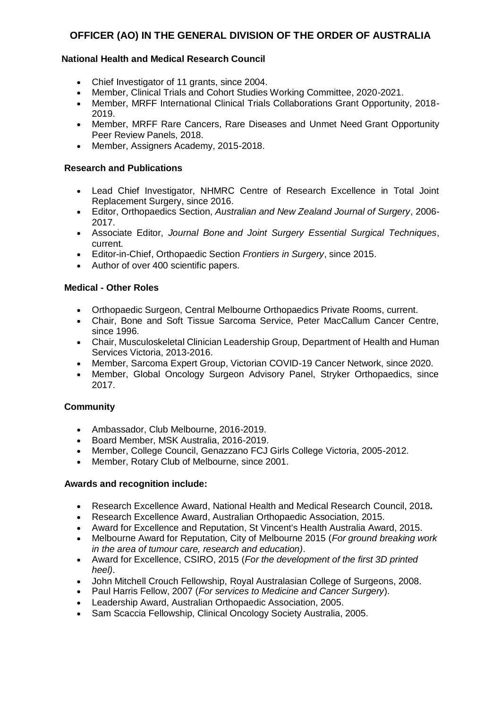## **National Health and Medical Research Council**

- Chief Investigator of 11 grants, since 2004.
- Member, Clinical Trials and Cohort Studies Working Committee, 2020-2021.
- Member, MRFF International Clinical Trials Collaborations Grant Opportunity, 2018- 2019.
- Member, MRFF Rare Cancers, Rare Diseases and Unmet Need Grant Opportunity Peer Review Panels, 2018.
- Member, Assigners Academy, 2015-2018.

## **Research and Publications**

- Lead Chief Investigator, NHMRC Centre of Research Excellence in Total Joint Replacement Surgery, since 2016.
- Editor, Orthopaedics Section, *Australian and New Zealand Journal of Surgery*, 2006- 2017.
- Associate Editor, *Journal Bone and Joint Surgery Essential Surgical Techniques*, current.
- Editor-in-Chief, Orthopaedic Section *Frontiers in Surgery*, since 2015.
- Author of over 400 scientific papers.

## **Medical - Other Roles**

- Orthopaedic Surgeon, Central Melbourne Orthopaedics Private Rooms, current.
- Chair, Bone and Soft Tissue Sarcoma Service, Peter MacCallum Cancer Centre, since 1996.
- Chair, Musculoskeletal Clinician Leadership Group, Department of Health and Human Services Victoria, 2013-2016.
- Member, Sarcoma Expert Group, Victorian COVID-19 Cancer Network, since 2020.
- Member, Global Oncology Surgeon Advisory Panel, Stryker Orthopaedics, since 2017.

## **Community**

- Ambassador, Club Melbourne, 2016-2019.
- Board Member, MSK Australia, 2016-2019.
- Member, College Council, Genazzano FCJ Girls College Victoria, 2005-2012.
- Member, Rotary Club of Melbourne, since 2001.

- Research Excellence Award, National Health and Medical Research Council, 2018**.**
- Research Excellence Award, Australian Orthopaedic Association, 2015.
- Award for Excellence and Reputation, St Vincent's Health Australia Award, 2015.
- Melbourne Award for Reputation, City of Melbourne 2015 (*For ground breaking work in the area of tumour care, research and education)*.
- Award for Excellence, CSIRO, 2015 (*For the development of the first 3D printed heel)*.
- John Mitchell Crouch Fellowship, Royal Australasian College of Surgeons, 2008.
- Paul Harris Fellow, 2007 (*For services to Medicine and Cancer Surgery*).
- Leadership Award, Australian Orthopaedic Association, 2005.
- Sam Scaccia Fellowship, Clinical Oncology Society Australia, 2005.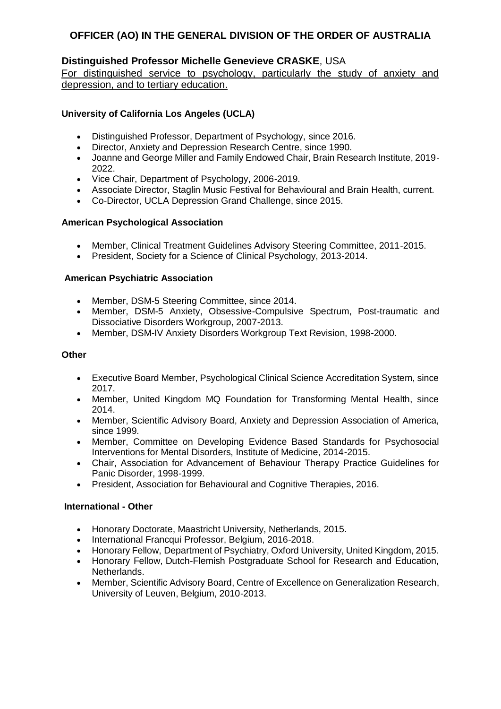## **Distinguished Professor Michelle Genevieve CRASKE**, USA

For distinguished service to psychology, particularly the study of anxiety and depression, and to tertiary education.

## **University of California Los Angeles (UCLA)**

- Distinguished Professor, Department of Psychology, since 2016.
- Director, Anxiety and Depression Research Centre, since 1990.
- Joanne and George Miller and Family Endowed Chair, Brain Research Institute, 2019- 2022.
- Vice Chair, Department of Psychology, 2006-2019.
- Associate Director, Staglin Music Festival for Behavioural and Brain Health, current.
- Co-Director, UCLA Depression Grand Challenge, since 2015.

## **American Psychological Association**

- Member, Clinical Treatment Guidelines Advisory Steering Committee, 2011-2015.
- President, Society for a Science of Clinical Psychology, 2013-2014.

## **American Psychiatric Association**

- Member, DSM-5 Steering Committee, since 2014.
- Member, DSM-5 Anxiety, Obsessive-Compulsive Spectrum, Post-traumatic and Dissociative Disorders Workgroup, 2007-2013.
- Member, DSM-IV Anxiety Disorders Workgroup Text Revision, 1998-2000.

### **Other**

- Executive Board Member, Psychological Clinical Science Accreditation System, since 2017.
- Member, United Kingdom MQ Foundation for Transforming Mental Health, since 2014.
- Member, Scientific Advisory Board, Anxiety and Depression Association of America, since 1999.
- Member, Committee on Developing Evidence Based Standards for Psychosocial Interventions for Mental Disorders, Institute of Medicine, 2014-2015.
- Chair, Association for Advancement of Behaviour Therapy Practice Guidelines for Panic Disorder, 1998-1999.
- President, Association for Behavioural and Cognitive Therapies, 2016.

## **International - Other**

- Honorary Doctorate, Maastricht University, Netherlands, 2015.
- International Francqui Professor, Belgium, 2016-2018.
- Honorary Fellow, Department of Psychiatry, Oxford University, United Kingdom, 2015.
- Honorary Fellow, Dutch-Flemish Postgraduate School for Research and Education, Netherlands.
- Member, Scientific Advisory Board, Centre of Excellence on Generalization Research, University of Leuven, Belgium, 2010-2013.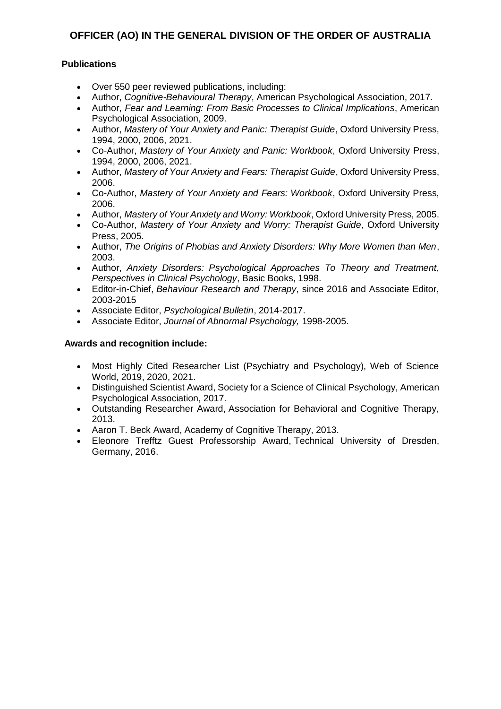## **Publications**

- Over 550 peer reviewed publications, including:
- Author, *Cognitive-Behavioural Therapy*, American Psychological Association, 2017.
- Author, *Fear and Learning: From Basic Processes to Clinical Implications*, American Psychological Association, 2009.
- Author, *Mastery of Your Anxiety and Panic: Therapist Guide*, Oxford University Press, 1994, 2000, 2006, 2021.
- Co-Author, *Mastery of Your Anxiety and Panic: Workbook*, Oxford University Press, 1994, 2000, 2006, 2021.
- Author, *Mastery of Your Anxiety and Fears: Therapist Guide*, Oxford University Press, 2006.
- Co-Author, *Mastery of Your Anxiety and Fears: Workbook*, Oxford University Press, 2006.
- Author, *Mastery of Your Anxiety and Worry: Workbook*, Oxford University Press, 2005.
- Co-Author, *Mastery of Your Anxiety and Worry: Therapist Guide*, Oxford University Press, 2005.
- Author, *The Origins of Phobias and Anxiety Disorders: Why More Women than Men*, 2003.
- Author, *Anxiety Disorders: Psychological Approaches To Theory and Treatment, Perspectives in Clinical Psychology*, Basic Books, 1998.
- Editor-in-Chief, *Behaviour Research and Therapy*, since 2016 and Associate Editor, 2003-2015
- Associate Editor, *Psychological Bulletin*, 2014-2017.
- Associate Editor, *Journal of Abnormal Psychology,* 1998-2005.

- Most Highly Cited Researcher List (Psychiatry and Psychology), Web of Science World, 2019, 2020, 2021.
- Distinguished Scientist Award, Society for a Science of Clinical Psychology, American Psychological Association, 2017.
- Outstanding Researcher Award, Association for Behavioral and Cognitive Therapy, 2013.
- Aaron T. Beck Award, Academy of Cognitive Therapy, 2013.
- Eleonore Trefftz Guest Professorship Award, Technical University of Dresden, Germany, 2016.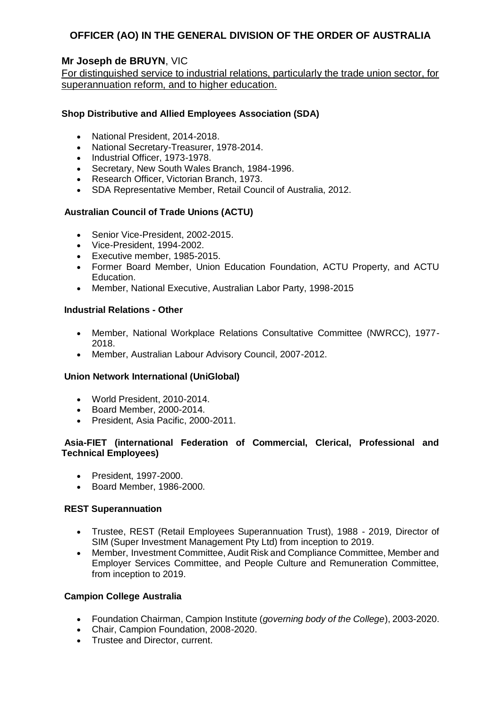## **Mr Joseph de BRUYN**, VIC

For distinguished service to industrial relations, particularly the trade union sector, for superannuation reform, and to higher education.

## **Shop Distributive and Allied Employees Association (SDA)**

- National President, 2014-2018.
- National Secretary-Treasurer, 1978-2014.
- Industrial Officer, 1973-1978.
- Secretary, New South Wales Branch, 1984-1996.
- Research Officer, Victorian Branch, 1973.
- SDA Representative Member, Retail Council of Australia, 2012.

## **Australian Council of Trade Unions (ACTU)**

- Senior Vice-President, 2002-2015.
- Vice-President, 1994-2002.
- Executive member, 1985-2015.
- Former Board Member, Union Education Foundation, ACTU Property, and ACTU Education.
- Member, National Executive, Australian Labor Party, 1998-2015

## **Industrial Relations - Other**

- Member, National Workplace Relations Consultative Committee (NWRCC), 1977- 2018.
- Member, Australian Labour Advisory Council, 2007-2012.

## **Union Network International (UniGlobal)**

- World President, 2010-2014.
- Board Member, 2000-2014.
- President, Asia Pacific, 2000-2011.

## **Asia-FIET (international Federation of Commercial, Clerical, Professional and Technical Employees)**

- President, 1997-2000.
- Board Member, 1986-2000.

#### **REST Superannuation**

- Trustee, REST (Retail Employees Superannuation Trust), 1988 2019, Director of SIM (Super Investment Management Pty Ltd) from inception to 2019.
- Member, Investment Committee, Audit Risk and Compliance Committee, Member and Employer Services Committee, and People Culture and Remuneration Committee, from inception to 2019.

## **Campion College Australia**

- Foundation Chairman, Campion Institute (*governing body of the College*), 2003-2020.
- Chair, Campion Foundation, 2008-2020.
- Trustee and Director, current.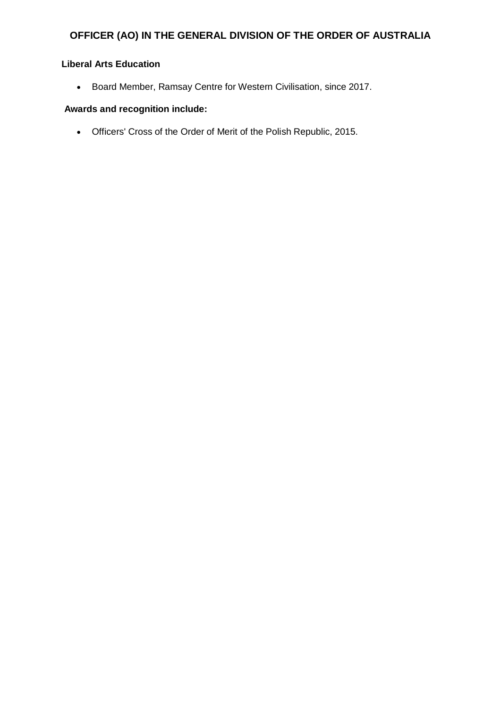## **Liberal Arts Education**

Board Member, Ramsay Centre for Western Civilisation, since 2017.

## **Awards and recognition include:**

Officers' Cross of the Order of Merit of the Polish Republic, 2015.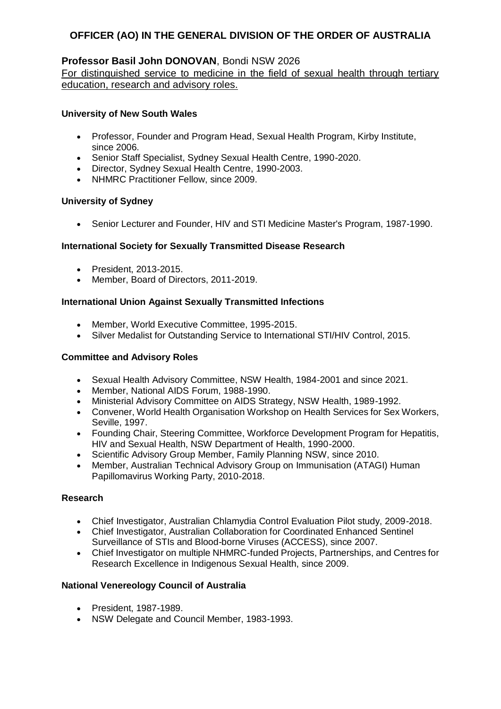## **Professor Basil John DONOVAN**, Bondi NSW 2026

For distinguished service to medicine in the field of sexual health through tertiary education, research and advisory roles.

## **University of New South Wales**

- Professor, Founder and Program Head, Sexual Health Program, Kirby Institute, since 2006.
- Senior Staff Specialist, Sydney Sexual Health Centre, 1990-2020.
- Director, Sydney Sexual Health Centre, 1990-2003.
- NHMRC Practitioner Fellow, since 2009.

## **University of Sydney**

• Senior Lecturer and Founder, HIV and STI Medicine Master's Program, 1987-1990.

## **International Society for Sexually Transmitted Disease Research**

- President, 2013-2015.
- Member, Board of Directors, 2011-2019.

## **International Union Against Sexually Transmitted Infections**

- Member, World Executive Committee, 1995-2015.
- Silver Medalist for Outstanding Service to International STI/HIV Control, 2015.

### **Committee and Advisory Roles**

- Sexual Health Advisory Committee, NSW Health, 1984-2001 and since 2021.
- Member, National AIDS Forum, 1988-1990.
- Ministerial Advisory Committee on AIDS Strategy, NSW Health, 1989-1992.
- Convener, World Health Organisation Workshop on Health Services for Sex Workers, Seville, 1997.
- Founding Chair, Steering Committee, Workforce Development Program for Hepatitis, HIV and Sexual Health, NSW Department of Health, 1990-2000.
- Scientific Advisory Group Member, Family Planning NSW, since 2010.
- Member, Australian Technical Advisory Group on Immunisation (ATAGI) Human Papillomavirus Working Party, 2010-2018.

#### **Research**

- Chief Investigator, Australian Chlamydia Control Evaluation Pilot study, 2009-2018.
- Chief Investigator, Australian Collaboration for Coordinated Enhanced Sentinel Surveillance of STIs and Blood-borne Viruses (ACCESS), since 2007.
- Chief Investigator on multiple NHMRC-funded Projects, Partnerships, and Centres for Research Excellence in Indigenous Sexual Health, since 2009.

#### **National Venereology Council of Australia**

- President, 1987-1989.
- NSW Delegate and Council Member, 1983-1993.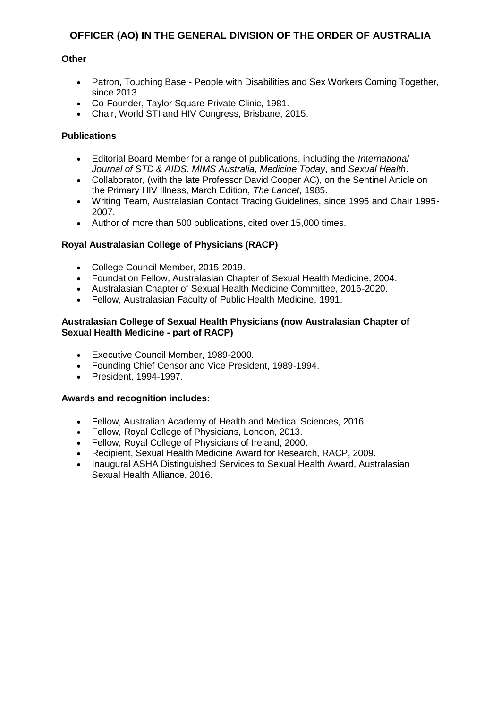## **Other**

- Patron, Touching Base People with Disabilities and Sex Workers Coming Together, since 2013.
- Co-Founder, Taylor Square Private Clinic, 1981.
- Chair, World STI and HIV Congress, Brisbane, 2015.

### **Publications**

- Editorial Board Member for a range of publications, including the *International Journal of STD & AIDS*, *MIMS Australia*, *Medicine Today*, and *Sexual Health*.
- Collaborator, (with the late Professor David Cooper AC), on the Sentinel Article on the Primary HIV Illness, March Edition, *The Lancet*, 1985.
- Writing Team, Australasian Contact Tracing Guidelines, since 1995 and Chair 1995- 2007.
- Author of more than 500 publications, cited over 15,000 times.

## **Royal Australasian College of Physicians (RACP)**

- College Council Member, 2015-2019.
- Foundation Fellow, Australasian Chapter of Sexual Health Medicine, 2004.
- Australasian Chapter of Sexual Health Medicine Committee, 2016-2020.
- Fellow, Australasian Faculty of Public Health Medicine, 1991.

#### **Australasian College of Sexual Health Physicians (now Australasian Chapter of Sexual Health Medicine - part of RACP)**

- Executive Council Member, 1989-2000.
- Founding Chief Censor and Vice President, 1989-1994.
- President, 1994-1997.

- Fellow, Australian Academy of Health and Medical Sciences, 2016.
- Fellow, Royal College of Physicians, London, 2013.
- Fellow, Royal College of Physicians of Ireland, 2000.
- Recipient, Sexual Health Medicine Award for Research, RACP, 2009.
- Inaugural ASHA Distinguished Services to Sexual Health Award, Australasian Sexual Health Alliance, 2016.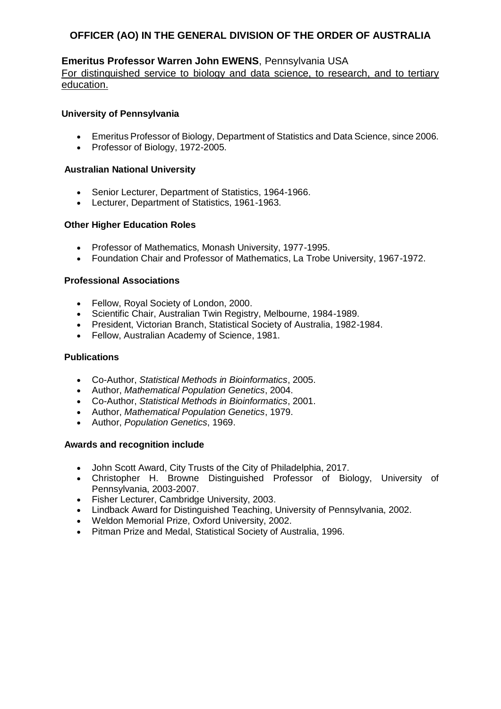## **Emeritus Professor Warren John EWENS**, Pennsylvania USA

For distinguished service to biology and data science, to research, and to tertiary education.

### **University of Pennsylvania**

- Emeritus Professor of Biology, Department of Statistics and Data Science, since 2006.
- Professor of Biology, 1972-2005.

### **Australian National University**

- Senior Lecturer, Department of Statistics, 1964-1966.
- Lecturer, Department of Statistics, 1961-1963.

## **Other Higher Education Roles**

- Professor of Mathematics, Monash University, 1977-1995.
- Foundation Chair and Professor of Mathematics, La Trobe University, 1967-1972.

#### **Professional Associations**

- Fellow, Royal Society of London, 2000.
- Scientific Chair, Australian Twin Registry, Melbourne, 1984-1989.
- President, Victorian Branch, Statistical Society of Australia, 1982-1984.
- Fellow, Australian Academy of Science, 1981.

#### **Publications**

- Co-Author, *Statistical Methods in Bioinformatics*, 2005.
- Author, *Mathematical Population Genetics*, 2004.
- Co-Author, *Statistical Methods in Bioinformatics*, 2001.
- Author, *Mathematical Population Genetics*, 1979.
- Author, *Population Genetics*, 1969.

- John Scott Award, City Trusts of the City of Philadelphia, 2017.
- Christopher H. Browne Distinguished Professor of Biology, University of Pennsylvania, 2003-2007.
- Fisher Lecturer, Cambridge University, 2003.
- Lindback Award for Distinguished Teaching, University of Pennsylvania, 2002.
- Weldon Memorial Prize, Oxford University, 2002.
- Pitman Prize and Medal, Statistical Society of Australia, 1996.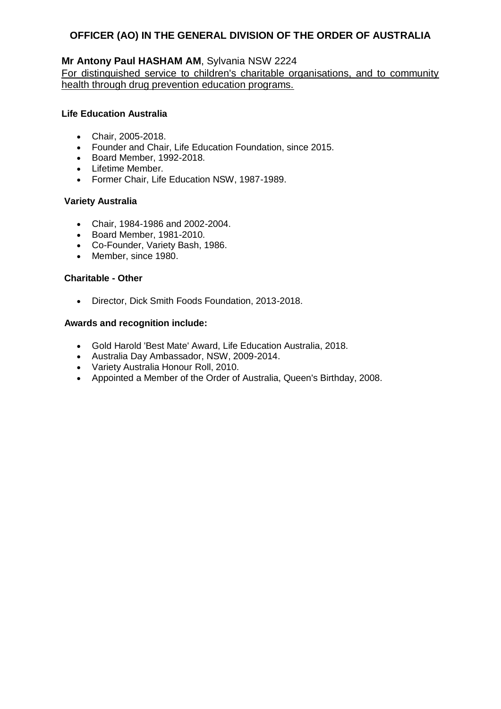## **Mr Antony Paul HASHAM AM**, Sylvania NSW 2224

For distinguished service to children's charitable organisations, and to community health through drug prevention education programs.

### **Life Education Australia**

- Chair, 2005-2018.
- Founder and Chair, Life Education Foundation, since 2015.
- Board Member, 1992-2018.
- Lifetime Member.
- Former Chair, Life Education NSW, 1987-1989.

## **Variety Australia**

- Chair, 1984-1986 and 2002-2004.
- Board Member, 1981-2010.
- Co-Founder, Variety Bash, 1986.
- Member, since 1980.

## **Charitable - Other**

Director, Dick Smith Foods Foundation, 2013-2018.

- Gold Harold 'Best Mate' Award, Life Education Australia, 2018.
- Australia Day Ambassador, NSW, 2009-2014.
- Variety Australia Honour Roll, 2010.
- Appointed a Member of the Order of Australia, Queen's Birthday, 2008.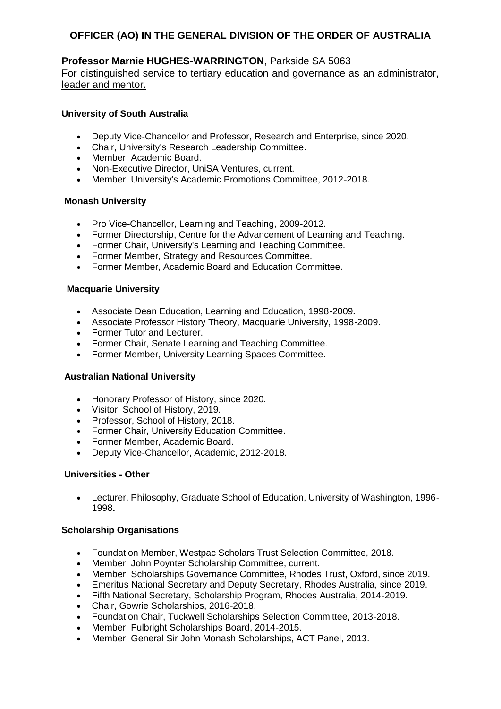## **Professor Marnie HUGHES-WARRINGTON**, Parkside SA 5063

For distinguished service to tertiary education and governance as an administrator, leader and mentor.

### **University of South Australia**

- Deputy Vice-Chancellor and Professor, Research and Enterprise, since 2020.
- Chair, University's Research Leadership Committee.
- Member, Academic Board.
- Non-Executive Director, UniSA Ventures, current.
- Member, University's Academic Promotions Committee, 2012-2018.

#### **Monash University**

- Pro Vice-Chancellor, Learning and Teaching, 2009-2012.
- Former Directorship, Centre for the Advancement of Learning and Teaching.
- Former Chair, University's Learning and Teaching Committee.
- Former Member, Strategy and Resources Committee.
- Former Member, Academic Board and Education Committee.

#### **Macquarie University**

- Associate Dean Education, Learning and Education, 1998-2009**.**
- Associate Professor History Theory, Macquarie University, 1998-2009.
- Former Tutor and Lecturer.
- Former Chair, Senate Learning and Teaching Committee.
- Former Member, University Learning Spaces Committee.

#### **Australian National University**

- Honorary Professor of History, since 2020.
- Visitor, School of History, 2019.
- Professor, School of History, 2018.
- Former Chair, University Education Committee.
- Former Member, Academic Board.
- Deputy Vice-Chancellor, Academic, 2012-2018.

## **Universities - Other**

 Lecturer, Philosophy, Graduate School of Education, University of Washington, 1996- 1998**.**

#### **Scholarship Organisations**

- Foundation Member, Westpac Scholars Trust Selection Committee, 2018.
- Member, John Poynter Scholarship Committee, current.
- Member, Scholarships Governance Committee, Rhodes Trust, Oxford, since 2019.
- Emeritus National Secretary and Deputy Secretary, Rhodes Australia, since 2019.
- Fifth National Secretary, Scholarship Program, Rhodes Australia, 2014-2019.
- Chair, Gowrie Scholarships, 2016-2018.
- Foundation Chair, Tuckwell Scholarships Selection Committee, 2013-2018.
- Member, Fulbright Scholarships Board, 2014-2015.
- Member, General Sir John Monash Scholarships, ACT Panel, 2013.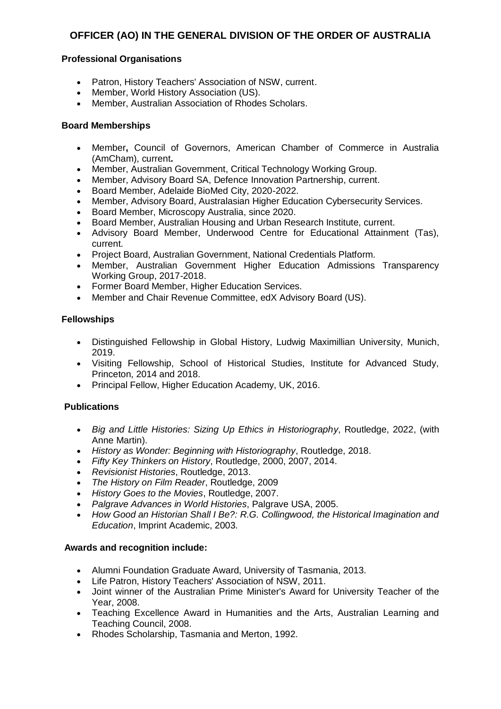## **Professional Organisations**

- Patron, History Teachers' Association of NSW, current.
- Member, World History Association (US).
- Member, Australian Association of Rhodes Scholars.

#### **Board Memberships**

- Member**,** Council of Governors, American Chamber of Commerce in Australia (AmCham), current**.**
- Member, Australian Government, Critical Technology Working Group.
- Member, Advisory Board SA, Defence Innovation Partnership, current.
- Board Member, Adelaide BioMed City, 2020-2022.
- Member, Advisory Board, Australasian Higher Education Cybersecurity Services.
- Board Member, Microscopy Australia, since 2020.
- Board Member, Australian Housing and Urban Research Institute, current.
- Advisory Board Member, Underwood Centre for Educational Attainment (Tas), current.
- Project Board, Australian Government, National Credentials Platform.
- Member, Australian Government Higher Education Admissions Transparency Working Group, 2017-2018.
- Former Board Member, Higher Education Services.
- Member and Chair Revenue Committee, edX Advisory Board (US).

## **Fellowships**

- Distinguished Fellowship in Global History, Ludwig Maximillian University, Munich, 2019.
- Visiting Fellowship, School of Historical Studies, Institute for Advanced Study, Princeton, 2014 and 2018.
- Principal Fellow, Higher Education Academy, UK, 2016.

#### **Publications**

- *Big and Little Histories: Sizing Up Ethics in Historiography*, Routledge, 2022, (with Anne Martin).
- *History as Wonder: Beginning with Historiography*, Routledge, 2018.
- *Fifty Key Thinkers on History*, Routledge, 2000, 2007, 2014.
- *Revisionist Histories*, Routledge, 2013.
- *The History on Film Reader*, Routledge, 2009
- *History Goes to the Movies*, Routledge, 2007.
- *Palgrave Advances in World Histories*, Palgrave USA, 2005.
- *How Good an Historian Shall I Be?: R.G. Collingwood, the Historical Imagination and Education*, Imprint Academic, 2003.

- Alumni Foundation Graduate Award, University of Tasmania, 2013.
- Life Patron, History Teachers' Association of NSW, 2011.
- Joint winner of the Australian Prime Minister's Award for University Teacher of the Year, 2008.
- Teaching Excellence Award in Humanities and the Arts, Australian Learning and Teaching Council, 2008.
- Rhodes Scholarship, Tasmania and Merton, 1992.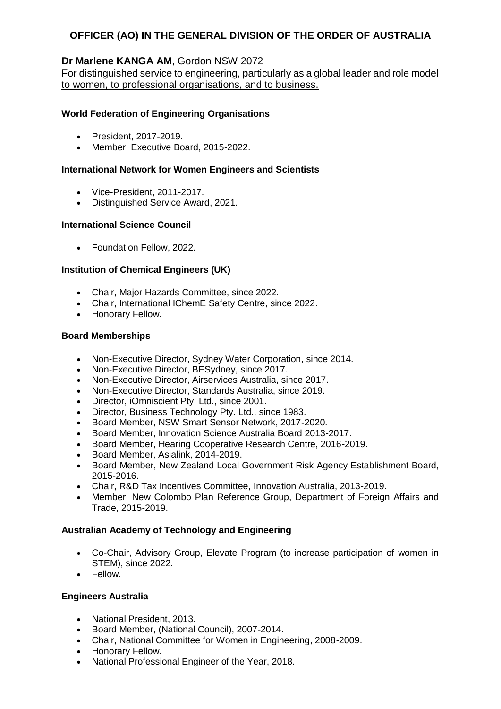## **Dr Marlene KANGA AM**, Gordon NSW 2072

For distinguished service to engineering, particularly as a global leader and role model to women, to professional organisations, and to business.

## **World Federation of Engineering Organisations**

- President, 2017-2019.
- Member, Executive Board, 2015-2022.

## **International Network for Women Engineers and Scientists**

- Vice-President, 2011-2017
- Distinguished Service Award, 2021.

## **International Science Council**

• Foundation Fellow, 2022.

## **Institution of Chemical Engineers (UK)**

- Chair, Major Hazards Committee, since 2022.
- Chair, International IChemE Safety Centre, since 2022.
- Honorary Fellow.

#### **Board Memberships**

- Non-Executive Director, Sydney Water Corporation, since 2014.
- Non-Executive Director, BESydney, since 2017.
- Non-Executive Director, Airservices Australia, since 2017.
- Non-Executive Director, Standards Australia, since 2019.
- Director, iOmniscient Pty. Ltd., since 2001.
- Director, Business Technology Pty. Ltd., since 1983.
- Board Member, NSW Smart Sensor Network, 2017-2020.
- Board Member, Innovation Science Australia Board 2013-2017.
- Board Member, Hearing Cooperative Research Centre, 2016-2019.
- Board Member, Asialink, 2014-2019.
- Board Member, New Zealand Local Government Risk Agency Establishment Board, 2015-2016.
- Chair, R&D Tax Incentives Committee, Innovation Australia, 2013-2019.
- Member, New Colombo Plan Reference Group, Department of Foreign Affairs and Trade, 2015-2019.

## **Australian Academy of Technology and Engineering**

- Co-Chair, Advisory Group, Elevate Program (to increase participation of women in STEM), since 2022.
- Fellow.

#### **Engineers Australia**

- National President, 2013.
- Board Member, (National Council), 2007-2014.
- Chair, National Committee for Women in Engineering, 2008-2009.
- Honorary Fellow.
- National Professional Engineer of the Year, 2018.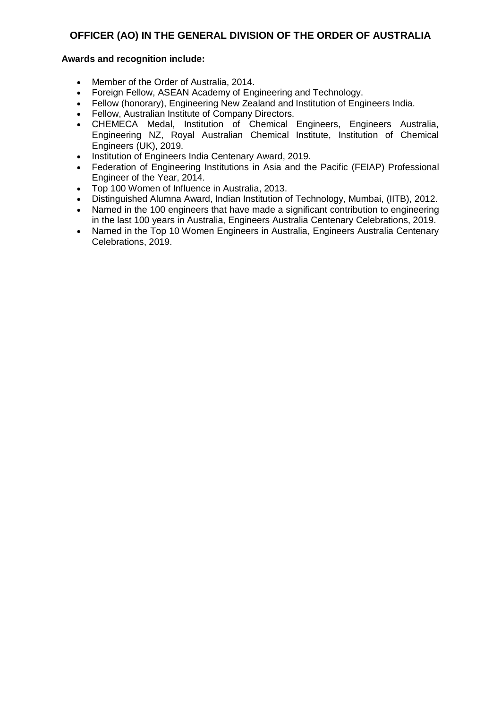- Member of the Order of Australia, 2014.
- Foreign Fellow, ASEAN Academy of Engineering and Technology.
- Fellow (honorary), Engineering New Zealand and Institution of Engineers India.
- Fellow, Australian Institute of Company Directors.
- CHEMECA Medal, Institution of Chemical Engineers, Engineers Australia, Engineering NZ, Royal Australian Chemical Institute, Institution of Chemical Engineers (UK), 2019.
- Institution of Engineers India Centenary Award, 2019.
- Federation of Engineering Institutions in Asia and the Pacific (FEIAP) Professional Engineer of the Year, 2014.
- Top 100 Women of Influence in Australia, 2013.
- Distinguished Alumna Award, Indian Institution of Technology, Mumbai, (IITB), 2012.
- Named in the 100 engineers that have made a significant contribution to engineering in the last 100 years in Australia, Engineers Australia Centenary Celebrations, 2019.
- Named in the Top 10 Women Engineers in Australia, Engineers Australia Centenary Celebrations, 2019.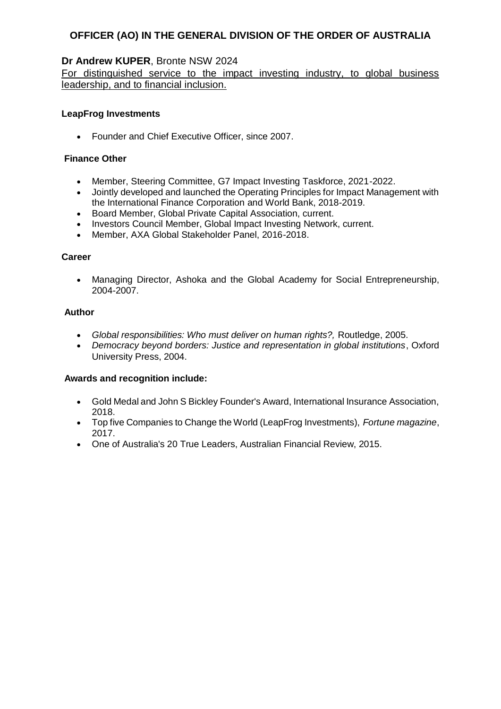## **Dr Andrew KUPER**, Bronte NSW 2024

For distinguished service to the impact investing industry, to global business leadership, and to financial inclusion.

## **LeapFrog Investments**

• Founder and Chief Executive Officer, since 2007.

## **Finance Other**

- Member, Steering Committee, G7 Impact Investing Taskforce, 2021-2022.
- Jointly developed and launched the Operating Principles for Impact Management with the International Finance Corporation and World Bank, 2018-2019.
- Board Member, Global Private Capital Association, current.
- Investors Council Member, Global Impact Investing Network, current.
- Member, AXA Global Stakeholder Panel, 2016-2018.

#### **Career**

 Managing Director, Ashoka and the Global Academy for Social Entrepreneurship, 2004-2007.

#### **Author**

- *Global responsibilities: Who must deliver on human rights?,* Routledge, 2005.
- *Democracy beyond borders: Justice and representation in global institutions*, Oxford University Press, 2004.

- Gold Medal and John S Bickley Founder's Award, International Insurance Association, 2018.
- Top five Companies to Change the World (LeapFrog Investments), *Fortune magazine*, 2017.
- One of Australia's 20 True Leaders, Australian Financial Review, 2015.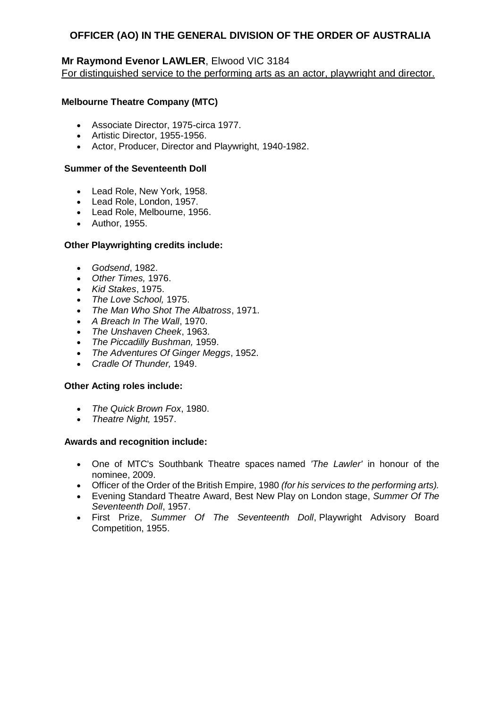## **Mr Raymond Evenor LAWLER**, Elwood VIC 3184

For distinguished service to the performing arts as an actor, playwright and director.

## **Melbourne Theatre Company (MTC)**

- Associate Director, 1975-circa 1977.
- Artistic Director, 1955-1956.
- Actor, Producer, Director and Playwright, 1940-1982.

#### **Summer of the Seventeenth Doll**

- Lead Role, New York, 1958.
- Lead Role, London, 1957.
- Lead Role, Melbourne, 1956.
- Author, 1955.

#### **Other Playwrighting credits include:**

- *Godsend*, 1982.
- *Other Times,* 1976.
- *Kid Stakes*, 1975.
- *The Love School,* 1975.
- *The Man Who Shot The Albatross*, 1971.
- *A Breach In The Wall*, 1970.
- *The Unshaven Cheek*, 1963.
- *The Piccadilly Bushman,* 1959.
- *The Adventures Of Ginger Meggs*, 1952.
- *Cradle Of Thunder,* 1949.

#### **Other Acting roles include:**

- *The Quick Brown Fox*, 1980.
- *Theatre Night,* 1957.

- One of MTC's Southbank Theatre spaces named *'The Lawler'* in honour of the nominee, 2009.
- Officer of the Order of the British Empire, 1980 *(for his services to the performing arts).*
- Evening Standard Theatre Award, Best New Play on London stage, *Summer Of The Seventeenth Doll*, 1957.
- First Prize, *Summer Of The Seventeenth Doll*, Playwright Advisory Board Competition, 1955.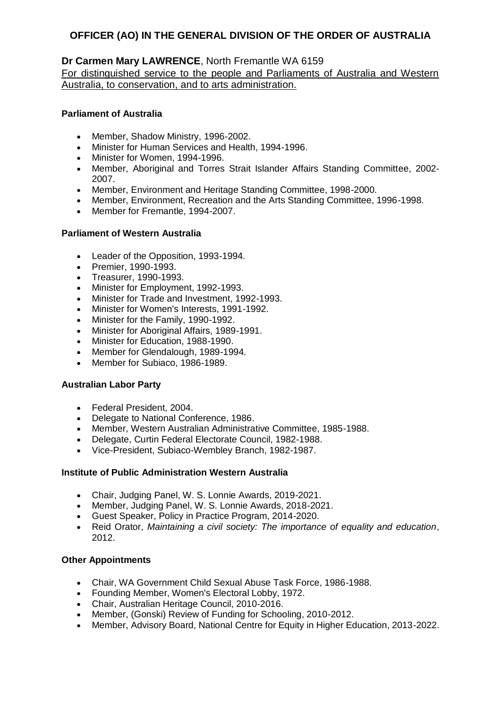## **Dr Carmen Mary LAWRENCE**, North Fremantle WA 6159

For distinguished service to the people and Parliaments of Australia and Western Australia, to conservation, and to arts administration.

## **Parliament of Australia**

- Member, Shadow Ministry, 1996-2002.
- Minister for Human Services and Health, 1994-1996.
- Minister for Women, 1994-1996.
- Member, Aboriginal and Torres Strait Islander Affairs Standing Committee, 2002- 2007.
- Member, Environment and Heritage Standing Committee, 1998-2000.
- Member, Environment, Recreation and the Arts Standing Committee, 1996-1998.
- Member for Fremantle, 1994-2007.

## **Parliament of Western Australia**

- Leader of the Opposition, 1993-1994.
- Premier, 1990-1993.
- Treasurer, 1990-1993.
- Minister for Employment, 1992-1993.
- Minister for Trade and Investment, 1992-1993.
- Minister for Women's Interests, 1991-1992.
- Minister for the Family, 1990-1992.
- Minister for Aboriginal Affairs, 1989-1991.
- Minister for Education, 1988-1990.
- Member for Glendalough, 1989-1994.
- Member for Subiaco, 1986-1989.

#### **Australian Labor Party**

- Federal President, 2004.
- Delegate to National Conference, 1986.
- Member, Western Australian Administrative Committee, 1985-1988.
- Delegate, Curtin Federal Electorate Council, 1982-1988.
- Vice-President, Subiaco-Wembley Branch, 1982-1987.

#### **Institute of Public Administration Western Australia**

- Chair, Judging Panel, W. S. Lonnie Awards, 2019-2021.
- Member, Judging Panel, W. S. Lonnie Awards, 2018-2021.
- Guest Speaker, Policy in Practice Program, 2014-2020.
- Reid Orator, *Maintaining a civil society: The importance of equality and education*, 2012.

#### **Other Appointments**

- Chair, WA Government Child Sexual Abuse Task Force, 1986-1988.
- Founding Member, Women's Electoral Lobby, 1972.
- Chair, Australian Heritage Council, 2010-2016.
- Member, (Gonski) Review of Funding for Schooling, 2010-2012.
- Member, Advisory Board, National Centre for Equity in Higher Education, 2013-2022.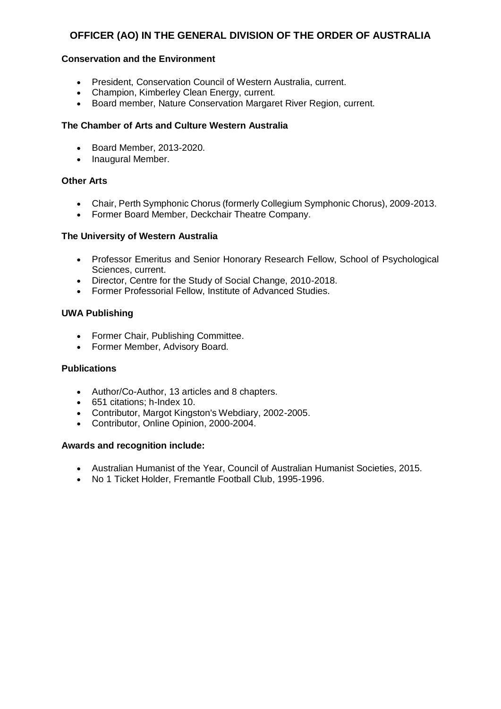## **Conservation and the Environment**

- President, Conservation Council of Western Australia, current.
- Champion, Kimberley Clean Energy, current.
- Board member, Nature Conservation Margaret River Region, current.

### **The Chamber of Arts and Culture Western Australia**

- Board Member, 2013-2020.
- Inaugural Member.

#### **Other Arts**

- Chair, Perth Symphonic Chorus (formerly Collegium Symphonic Chorus), 2009-2013.
- Former Board Member, Deckchair Theatre Company.

#### **The University of Western Australia**

- Professor Emeritus and Senior Honorary Research Fellow, School of Psychological Sciences, current.
- Director, Centre for the Study of Social Change, 2010-2018.
- Former Professorial Fellow, Institute of Advanced Studies.

## **UWA Publishing**

- Former Chair, Publishing Committee.
- Former Member, Advisory Board.

#### **Publications**

- Author/Co-Author, 13 articles and 8 chapters.
- 651 citations; h-Index 10.
- Contributor, Margot Kingston's Webdiary, 2002-2005.
- Contributor, Online Opinion, 2000-2004.

- Australian Humanist of the Year, Council of Australian Humanist Societies, 2015.
- No 1 Ticket Holder, Fremantle Football Club, 1995-1996.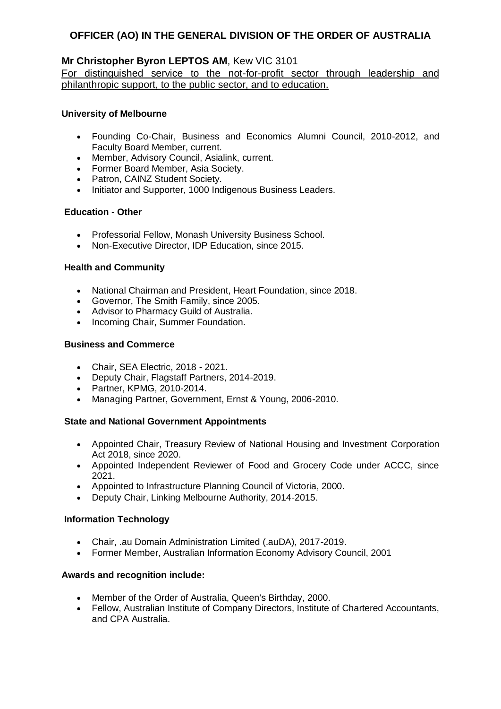## **Mr Christopher Byron LEPTOS AM**, Kew VIC 3101

For distinguished service to the not-for-profit sector through leadership and philanthropic support, to the public sector, and to education.

## **University of Melbourne**

- Founding Co-Chair, Business and Economics Alumni Council, 2010-2012, and Faculty Board Member, current.
- Member, Advisory Council, Asialink, current.
- Former Board Member, Asia Society.
- Patron, CAINZ Student Society.
- Initiator and Supporter, 1000 Indigenous Business Leaders.

#### **Education - Other**

- Professorial Fellow, Monash University Business School.
- Non-Executive Director, IDP Education, since 2015.

#### **Health and Community**

- National Chairman and President, Heart Foundation, since 2018.
- Governor, The Smith Family, since 2005.
- Advisor to Pharmacy Guild of Australia.
- Incoming Chair, Summer Foundation.

#### **Business and Commerce**

- Chair, SEA Electric, 2018 2021.
- Deputy Chair, Flagstaff Partners, 2014-2019.
- Partner, KPMG, 2010-2014.
- Managing Partner, Government, Ernst & Young, 2006-2010.

#### **State and National Government Appointments**

- Appointed Chair, Treasury Review of National Housing and Investment Corporation Act 2018, since 2020.
- Appointed Independent Reviewer of Food and Grocery Code under ACCC, since 2021.
- Appointed to Infrastructure Planning Council of Victoria, 2000.
- Deputy Chair, Linking Melbourne Authority, 2014-2015.

#### **Information Technology**

- Chair, .au Domain Administration Limited (.auDA), 2017-2019.
- Former Member, Australian Information Economy Advisory Council, 2001

- Member of the Order of Australia, Queen's Birthday, 2000.
- Fellow, Australian Institute of Company Directors, Institute of Chartered Accountants, and CPA Australia.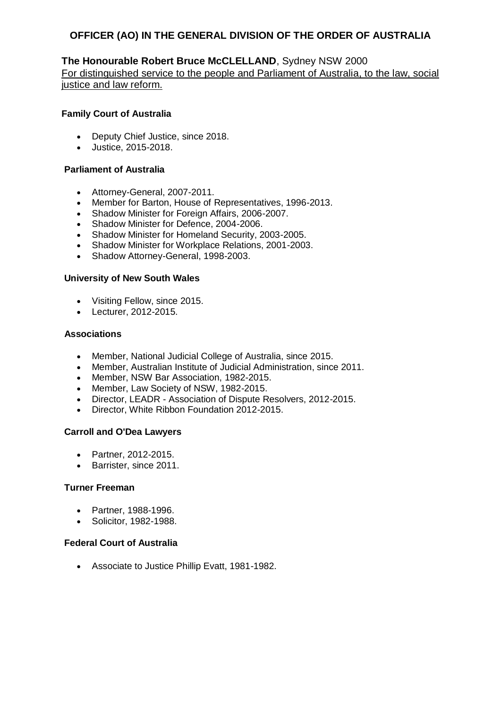## **The Honourable Robert Bruce McCLELLAND**, Sydney NSW 2000

For distinguished service to the people and Parliament of Australia, to the law, social justice and law reform.

#### **Family Court of Australia**

- Deputy Chief Justice, since 2018.
- Justice, 2015-2018.

### **Parliament of Australia**

- Attorney-General, 2007-2011.
- Member for Barton, House of Representatives, 1996-2013.
- Shadow Minister for Foreign Affairs, 2006-2007.
- Shadow Minister for Defence, 2004-2006.
- Shadow Minister for Homeland Security, 2003-2005.
- Shadow Minister for Workplace Relations, 2001-2003.
- Shadow Attorney-General, 1998-2003.

#### **University of New South Wales**

- Visiting Fellow, since 2015.
- Lecturer, 2012-2015.

#### **Associations**

- Member, National Judicial College of Australia, since 2015.
- Member, Australian Institute of Judicial Administration, since 2011.
- Member, NSW Bar Association, 1982-2015.
- Member, Law Society of NSW, 1982-2015.
- Director, LEADR Association of Dispute Resolvers, 2012-2015.
- Director, White Ribbon Foundation 2012-2015.

#### **Carroll and O'Dea Lawyers**

- Partner, 2012-2015.
- Barrister, since 2011.

#### **Turner Freeman**

- Partner, 1988-1996.
- Solicitor, 1982-1988.

## **Federal Court of Australia**

Associate to Justice Phillip Evatt, 1981-1982.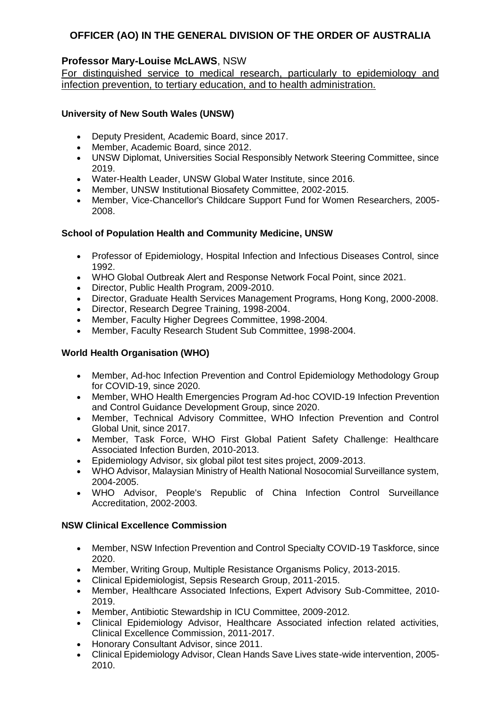## **Professor Mary-Louise McLAWS**, NSW

For distinguished service to medical research, particularly to epidemiology and infection prevention, to tertiary education, and to health administration.

## **University of New South Wales (UNSW)**

- Deputy President, Academic Board, since 2017.
- Member, Academic Board, since 2012.
- UNSW Diplomat, Universities Social Responsibly Network Steering Committee, since 2019.
- Water-Health Leader, UNSW Global Water Institute, since 2016.
- Member, UNSW Institutional Biosafety Committee, 2002-2015.
- Member, Vice-Chancellor's Childcare Support Fund for Women Researchers, 2005- 2008.

## **School of Population Health and Community Medicine, UNSW**

- Professor of Epidemiology, Hospital Infection and Infectious Diseases Control, since 1992.
- WHO Global Outbreak Alert and Response Network Focal Point, since 2021.
- Director, Public Health Program, 2009-2010.
- Director, Graduate Health Services Management Programs, Hong Kong, 2000-2008.
- Director, Research Degree Training, 1998-2004.
- Member, Faculty Higher Degrees Committee, 1998-2004.
- Member, Faculty Research Student Sub Committee, 1998-2004.

## **World Health Organisation (WHO)**

- Member, Ad-hoc Infection Prevention and Control Epidemiology Methodology Group for COVID-19, since 2020.
- Member, WHO Health Emergencies Program Ad-hoc COVID-19 Infection Prevention and Control Guidance Development Group, since 2020.
- Member, Technical Advisory Committee, WHO Infection Prevention and Control Global Unit, since 2017.
- Member, Task Force, WHO First Global Patient Safety Challenge: Healthcare Associated Infection Burden, 2010-2013.
- Epidemiology Advisor, six global pilot test sites project, 2009-2013.
- WHO Advisor, Malaysian Ministry of Health National Nosocomial Surveillance system, 2004-2005.
- WHO Advisor, People's Republic of China Infection Control Surveillance Accreditation, 2002-2003.

#### **NSW Clinical Excellence Commission**

- Member, NSW Infection Prevention and Control Specialty COVID-19 Taskforce, since 2020.
- Member, Writing Group, Multiple Resistance Organisms Policy, 2013-2015.
- Clinical Epidemiologist, Sepsis Research Group, 2011-2015.
- Member, Healthcare Associated Infections, Expert Advisory Sub-Committee, 2010- 2019.
- Member, Antibiotic Stewardship in ICU Committee, 2009-2012.
- Clinical Epidemiology Advisor, Healthcare Associated infection related activities, Clinical Excellence Commission, 2011-2017.
- Honorary Consultant Advisor, since 2011.
- Clinical Epidemiology Advisor, Clean Hands Save Lives state-wide intervention, 2005- 2010.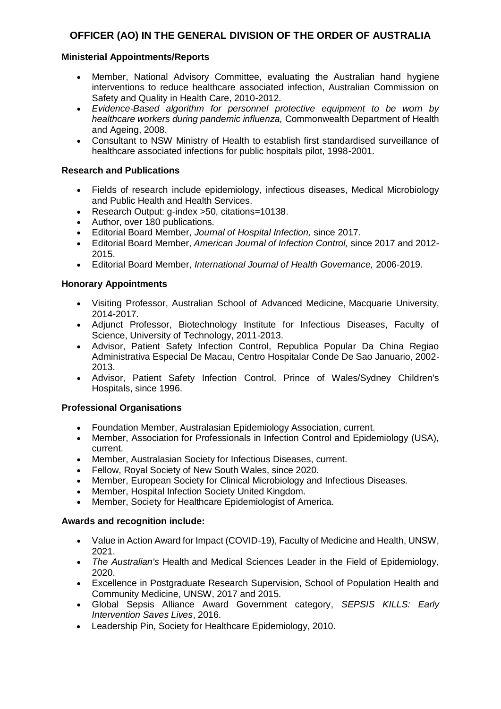## **Ministerial Appointments/Reports**

- Member, National Advisory Committee, evaluating the Australian hand hygiene interventions to reduce healthcare associated infection, Australian Commission on Safety and Quality in Health Care, 2010-2012.
- *Evidence-Based algorithm for personnel protective equipment to be worn by healthcare workers during pandemic influenza,* Commonwealth Department of Health and Ageing, 2008.
- Consultant to NSW Ministry of Health to establish first standardised surveillance of healthcare associated infections for public hospitals pilot, 1998-2001.

#### **Research and Publications**

- Fields of research include epidemiology, infectious diseases, Medical Microbiology and Public Health and Health Services.
- Research Output: g-index >50, citations=10138.
- Author, over 180 publications.
- Editorial Board Member, *Journal of Hospital Infection,* since 2017.
- Editorial Board Member, *American Journal of Infection Control,* since 2017 and 2012- 2015.
- Editorial Board Member, *International Journal of Health Governance,* 2006-2019.

## **Honorary Appointments**

- Visiting Professor, Australian School of Advanced Medicine, Macquarie University, 2014-2017.
- Adjunct Professor, Biotechnology Institute for Infectious Diseases, Faculty of Science, University of Technology, 2011-2013.
- Advisor, Patient Safety Infection Control, Republica Popular Da China Regiao Administrativa Especial De Macau, Centro Hospitalar Conde De Sao Januario, 2002- 2013.
- Advisor, Patient Safety Infection Control, Prince of Wales/Sydney Children's Hospitals, since 1996.

#### **Professional Organisations**

- Foundation Member, Australasian Epidemiology Association, current.
- Member, Association for Professionals in Infection Control and Epidemiology (USA), current.
- Member, Australasian Society for Infectious Diseases, current.
- Fellow, Royal Society of New South Wales, since 2020.
- Member, European Society for Clinical Microbiology and Infectious Diseases.
- Member, Hospital Infection Society United Kingdom.
- Member, Society for Healthcare Epidemiologist of America.

- Value in Action Award for Impact (COVID-19), Faculty of Medicine and Health, UNSW, 2021.
- *The Australian's* Health and Medical Sciences Leader in the Field of Epidemiology, 2020.
- Excellence in Postgraduate Research Supervision, School of Population Health and Community Medicine, UNSW, 2017 and 2015.
- Global Sepsis Alliance Award Government category, *SEPSIS KILLS: Early Intervention Saves Lives*, 2016.
- Leadership Pin, Society for Healthcare Epidemiology, 2010.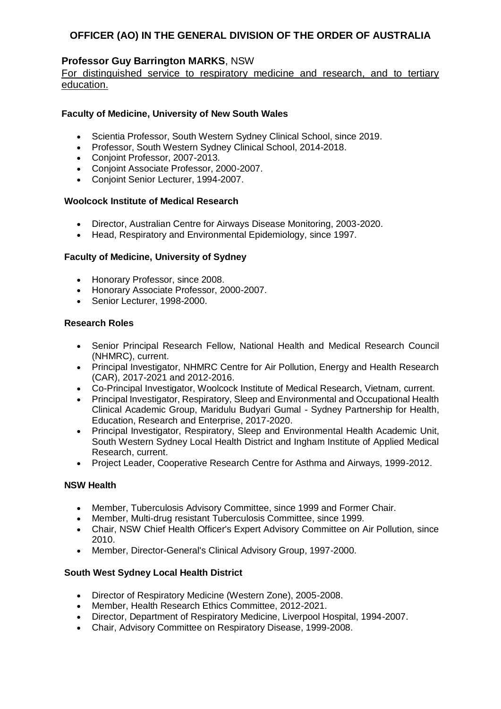## **Professor Guy Barrington MARKS**, NSW

For distinguished service to respiratory medicine and research, and to tertiary education.

## **Faculty of Medicine, University of New South Wales**

- Scientia Professor, South Western Sydney Clinical School, since 2019.<br>• Professor, South Western Sydney Clinical School, 2014-2018
- Professor, South Western Sydney Clinical School, 2014-2018.
- Conjoint Professor, 2007-2013.
- Conjoint Associate Professor, 2000-2007.
- Conjoint Senior Lecturer, 1994-2007.

#### **Woolcock Institute of Medical Research**

- Director, Australian Centre for Airways Disease Monitoring, 2003-2020.
- Head, Respiratory and Environmental Epidemiology, since 1997.

#### **Faculty of Medicine, University of Sydney**

- Honorary Professor, since 2008.
- Honorary Associate Professor, 2000-2007.
- Senior Lecturer, 1998-2000.

#### **Research Roles**

- Senior Principal Research Fellow, National Health and Medical Research Council (NHMRC), current.
- Principal Investigator, NHMRC Centre for Air Pollution, Energy and Health Research (CAR), 2017-2021 and 2012-2016.
- Co-Principal Investigator, Woolcock Institute of Medical Research, Vietnam, current.
- Principal Investigator, Respiratory, Sleep and Environmental and Occupational Health Clinical Academic Group, Maridulu Budyari Gumal - Sydney Partnership for Health, Education, Research and Enterprise, 2017-2020.
- Principal Investigator, Respiratory, Sleep and Environmental Health Academic Unit, South Western Sydney Local Health District and Ingham Institute of Applied Medical Research, current.
- Project Leader, Cooperative Research Centre for Asthma and Airways, 1999-2012.

#### **NSW Health**

- Member, Tuberculosis Advisory Committee, since 1999 and Former Chair.
- Member, Multi-drug resistant Tuberculosis Committee, since 1999.
- Chair, NSW Chief Health Officer's Expert Advisory Committee on Air Pollution, since 2010.
- Member, Director-General's Clinical Advisory Group, 1997-2000.

#### **South West Sydney Local Health District**

- Director of Respiratory Medicine (Western Zone), 2005-2008.
- Member, Health Research Ethics Committee, 2012-2021.
- Director, Department of Respiratory Medicine, Liverpool Hospital, 1994-2007.
- Chair, Advisory Committee on Respiratory Disease, 1999-2008.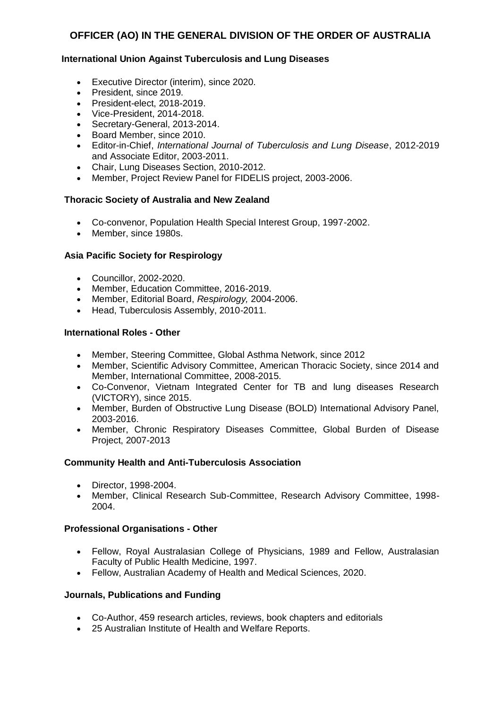## **International Union Against Tuberculosis and Lung Diseases**

- Executive Director (interim), since 2020.
- President, since 2019.
- President-elect, 2018-2019.
- Vice-President, 2014-2018.
- Secretary-General, 2013-2014.
- Board Member, since 2010.
- Editor-in-Chief, *International Journal of Tuberculosis and Lung Disease*, 2012-2019 and Associate Editor, 2003-2011.
- Chair, Lung Diseases Section, 2010-2012.
- Member, Project Review Panel for FIDELIS project, 2003-2006.

#### **Thoracic Society of Australia and New Zealand**

- Co-convenor, Population Health Special Interest Group, 1997-2002.
- Member, since 1980s.

## **Asia Pacific Society for Respirology**

- Councillor, 2002-2020.
- Member, Education Committee, 2016-2019.
- Member, Editorial Board, *Respirology,* 2004-2006.
- Head, Tuberculosis Assembly, 2010-2011.

#### **International Roles - Other**

- Member, Steering Committee, Global Asthma Network, since 2012
- Member, Scientific Advisory Committee, American Thoracic Society, since 2014 and Member, International Committee, 2008-2015.
- Co-Convenor, Vietnam Integrated Center for TB and lung diseases Research (VICTORY), since 2015.
- Member, Burden of Obstructive Lung Disease (BOLD) International Advisory Panel, 2003-2016.
- Member, Chronic Respiratory Diseases Committee, Global Burden of Disease Project, 2007-2013

#### **Community Health and Anti-Tuberculosis Association**

- Director, 1998-2004.
- Member, Clinical Research Sub-Committee, Research Advisory Committee, 1998- 2004.

#### **Professional Organisations - Other**

- Fellow, Royal Australasian College of Physicians, 1989 and Fellow, Australasian Faculty of Public Health Medicine, 1997.
- Fellow, Australian Academy of Health and Medical Sciences, 2020.

#### **Journals, Publications and Funding**

- Co-Author, 459 research articles, reviews, book chapters and editorials
- 25 Australian Institute of Health and Welfare Reports.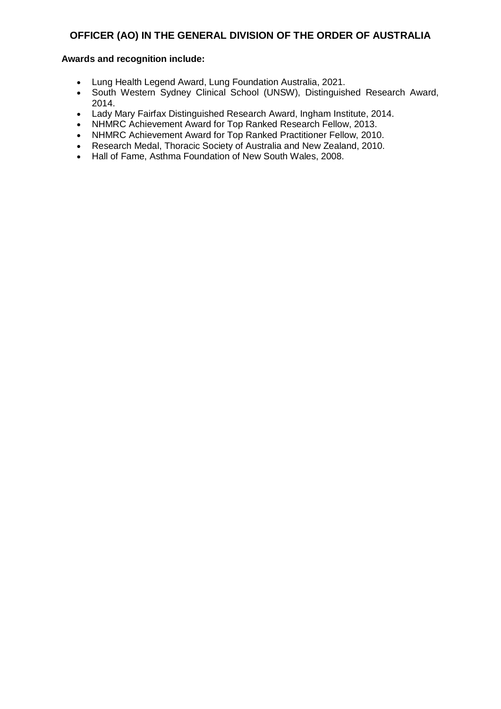- Lung Health Legend Award, Lung Foundation Australia, 2021.
- South Western Sydney Clinical School (UNSW), Distinguished Research Award, 2014.
- Lady Mary Fairfax Distinguished Research Award, Ingham Institute, 2014.
- NHMRC Achievement Award for Top Ranked Research Fellow, 2013.
- NHMRC Achievement Award for Top Ranked Practitioner Fellow, 2010.
- Research Medal, Thoracic Society of Australia and New Zealand, 2010.
- Hall of Fame, Asthma Foundation of New South Wales, 2008.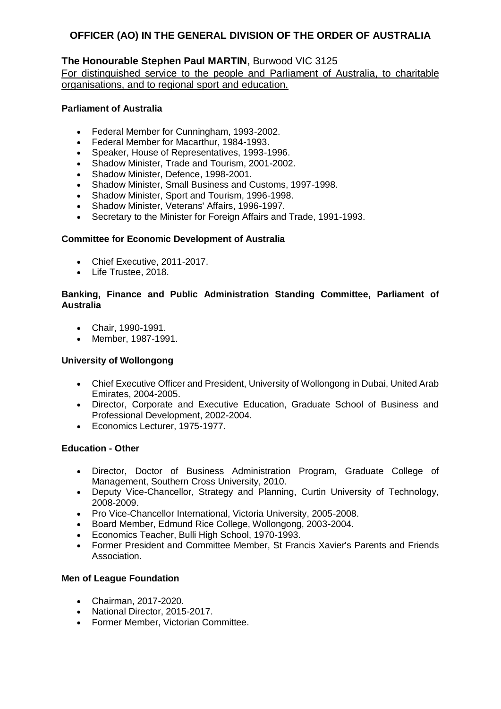## **The Honourable Stephen Paul MARTIN**, Burwood VIC 3125

For distinguished service to the people and Parliament of Australia, to charitable organisations, and to regional sport and education.

#### **Parliament of Australia**

- Federal Member for Cunningham, 1993-2002.
- Federal Member for Macarthur, 1984-1993.
- Speaker, House of Representatives, 1993-1996.
- Shadow Minister, Trade and Tourism, 2001-2002.
- Shadow Minister, Defence, 1998-2001.
- Shadow Minister, Small Business and Customs, 1997-1998.
- Shadow Minister, Sport and Tourism, 1996-1998.
- Shadow Minister, Veterans' Affairs, 1996-1997.
- Secretary to the Minister for Foreign Affairs and Trade, 1991-1993.

## **Committee for Economic Development of Australia**

- Chief Executive, 2011-2017.
- Life Trustee, 2018.

### **Banking, Finance and Public Administration Standing Committee, Parliament of Australia**

- Chair, 1990-1991.
- Member, 1987-1991.

#### **University of Wollongong**

- Chief Executive Officer and President, University of Wollongong in Dubai, United Arab Emirates, 2004-2005.
- Director, Corporate and Executive Education, Graduate School of Business and Professional Development, 2002-2004.
- Economics Lecturer, 1975-1977.

#### **Education - Other**

- Director, Doctor of Business Administration Program, Graduate College of Management, Southern Cross University, 2010.
- Deputy Vice-Chancellor, Strategy and Planning, Curtin University of Technology, 2008-2009.
- Pro Vice-Chancellor International, Victoria University, 2005-2008.
- Board Member, Edmund Rice College, Wollongong, 2003-2004.
- Economics Teacher, Bulli High School, 1970-1993.
- Former President and Committee Member, St Francis Xavier's Parents and Friends Association.

#### **Men of League Foundation**

- Chairman, 2017-2020.
- National Director, 2015-2017.
- Former Member, Victorian Committee.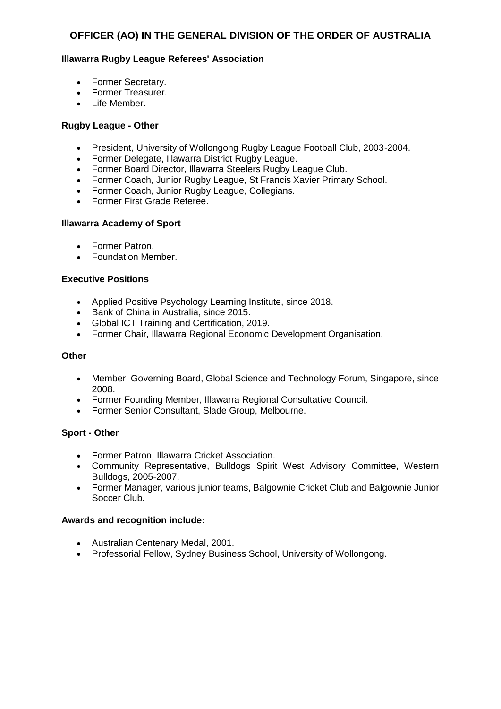## **Illawarra Rugby League Referees' Association**

- Former Secretary.
- Former Treasurer.
- Life Member.

#### **Rugby League - Other**

- President, University of Wollongong Rugby League Football Club, 2003-2004.
- Former Delegate, Illawarra District Rugby League.
- Former Board Director, Illawarra Steelers Rugby League Club.
- Former Coach, Junior Rugby League, St Francis Xavier Primary School.
- Former Coach, Junior Rugby League, Collegians.
- Former First Grade Referee.

#### **Illawarra Academy of Sport**

- Former Patron.
- Foundation Member.

#### **Executive Positions**

- Applied Positive Psychology Learning Institute, since 2018.
- **Bank of China in Australia, since 2015.**
- Global ICT Training and Certification, 2019.
- Former Chair, Illawarra Regional Economic Development Organisation.

#### **Other**

- Member, Governing Board, Global Science and Technology Forum, Singapore, since 2008.
- Former Founding Member, Illawarra Regional Consultative Council.
- Former Senior Consultant, Slade Group, Melbourne.

#### **Sport - Other**

- Former Patron, Illawarra Cricket Association.
- Community Representative, Bulldogs Spirit West Advisory Committee, Western Bulldogs, 2005-2007.
- Former Manager, various junior teams, Balgownie Cricket Club and Balgownie Junior Soccer Club.

- Australian Centenary Medal, 2001.
- Professorial Fellow, Sydney Business School, University of Wollongong.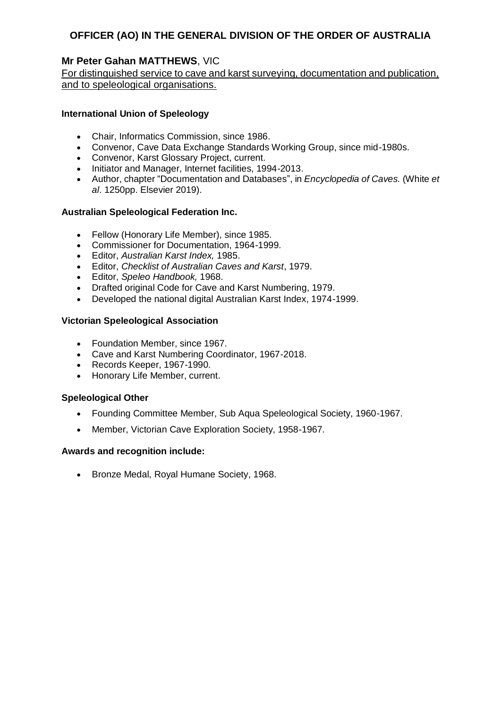## **Mr Peter Gahan MATTHEWS**, VIC

For distinguished service to cave and karst surveying, documentation and publication, and to speleological organisations.

### **International Union of Speleology**

- Chair, Informatics Commission, since 1986.
- Convenor, Cave Data Exchange Standards Working Group, since mid-1980s.
- Convenor, Karst Glossary Project, current.
- Initiator and Manager, Internet facilities, 1994-2013.
- Author, chapter "Documentation and Databases", in *Encyclopedia of Caves.* (White *et al*. 1250pp. Elsevier 2019).

#### **Australian Speleological Federation Inc.**

- Fellow (Honorary Life Member), since 1985.
- Commissioner for Documentation, 1964-1999.
- Editor, *Australian Karst Index,* 1985.
- Editor, *Checklist of Australian Caves and Karst*, 1979.
- Editor, *Speleo Handbook,* 1968.
- Drafted original Code for Cave and Karst Numbering, 1979.
- Developed the national digital Australian Karst Index, 1974-1999.

## **Victorian Speleological Association**

- Foundation Member, since 1967.
- Cave and Karst Numbering Coordinator, 1967-2018.
- Records Keeper, 1967-1990.
- Honorary Life Member, current.

#### **Speleological Other**

- Founding Committee Member, Sub Aqua Speleological Society, 1960-1967.
- Member, Victorian Cave Exploration Society, 1958-1967.

#### **Awards and recognition include:**

• Bronze Medal, Royal Humane Society, 1968.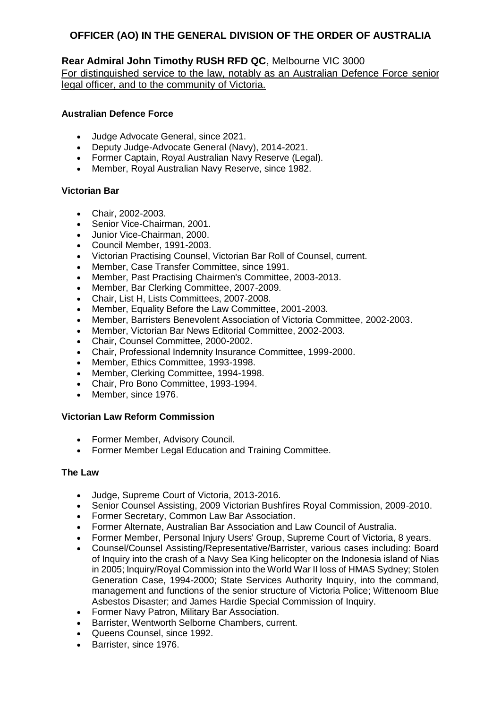## **Rear Admiral John Timothy RUSH RFD QC**, Melbourne VIC 3000

For distinguished service to the law, notably as an Australian Defence Force senior legal officer, and to the community of Victoria.

## **Australian Defence Force**

- Judge Advocate General, since 2021.<br>• Deputy Judge-Advocate General (Nav
- Deputy Judge-Advocate General (Navy), 2014-2021.
- Former Captain, Royal Australian Navy Reserve (Legal).
- Member, Royal Australian Navy Reserve, since 1982.

## **Victorian Bar**

- Chair, 2002-2003.
- Senior Vice-Chairman, 2001.
- Junior Vice-Chairman, 2000.
- Council Member, 1991-2003.
- Victorian Practising Counsel, Victorian Bar Roll of Counsel, current.
- Member, Case Transfer Committee, since 1991.
- Member, Past Practising Chairmen's Committee, 2003-2013.
- Member, Bar Clerking Committee, 2007-2009.
- Chair, List H, Lists Committees, 2007-2008.
- Member, Equality Before the Law Committee, 2001-2003.
- Member, Barristers Benevolent Association of Victoria Committee, 2002-2003.
- Member, Victorian Bar News Editorial Committee, 2002-2003.
- Chair, Counsel Committee, 2000-2002.
- Chair, Professional Indemnity Insurance Committee, 1999-2000.
- Member, Ethics Committee, 1993-1998.
- Member, Clerking Committee, 1994-1998.
- Chair, Pro Bono Committee, 1993-1994.
- Member, since 1976.

#### **Victorian Law Reform Commission**

- Former Member, Advisory Council.
- Former Member Legal Education and Training Committee.

#### **The Law**

- Judge, Supreme Court of Victoria, 2013-2016.
- Senior Counsel Assisting, 2009 Victorian Bushfires Royal Commission, 2009-2010.
- Former Secretary, Common Law Bar Association.
- Former Alternate, Australian Bar Association and Law Council of Australia.
- Former Member, Personal Injury Users' Group, Supreme Court of Victoria, 8 years.
- Counsel/Counsel Assisting/Representative/Barrister, various cases including: Board of Inquiry into the crash of a Navy Sea King helicopter on the Indonesia island of Nias in 2005; Inquiry/Royal Commission into the World War II loss of HMAS Sydney; Stolen Generation Case, 1994-2000; State Services Authority Inquiry, into the command, management and functions of the senior structure of Victoria Police; Wittenoom Blue Asbestos Disaster; and James Hardie Special Commission of Inquiry.
- Former Navy Patron, Military Bar Association.
- Barrister, Wentworth Selborne Chambers, current.
- Queens Counsel, since 1992.
- Barrister, since 1976.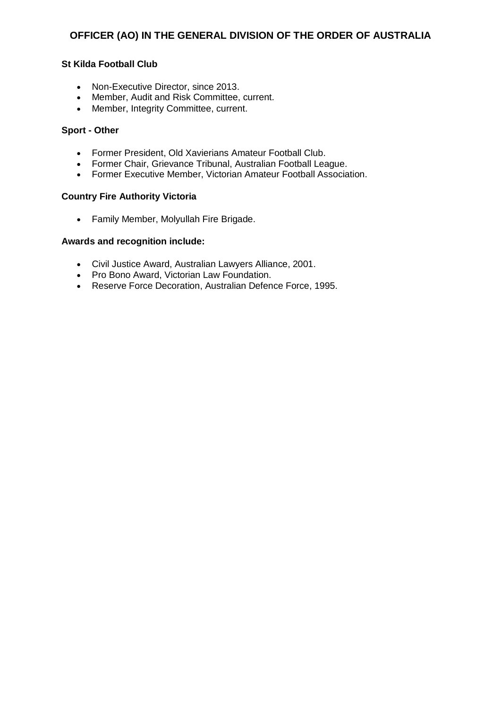#### **St Kilda Football Club**

- Non-Executive Director, since 2013.
- Member, Audit and Risk Committee, current.
- Member, Integrity Committee, current.

#### **Sport - Other**

- Former President, Old Xavierians Amateur Football Club.
- Former Chair, Grievance Tribunal, Australian Football League.
- Former Executive Member, Victorian Amateur Football Association.

#### **Country Fire Authority Victoria**

Family Member, Molyullah Fire Brigade.

- Civil Justice Award, Australian Lawyers Alliance, 2001.
- Pro Bono Award, Victorian Law Foundation.
- Reserve Force Decoration, Australian Defence Force, 1995.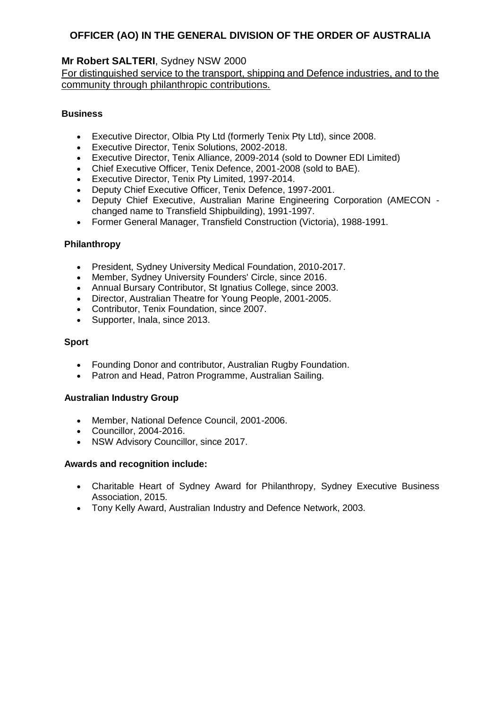## **Mr Robert SALTERI**, Sydney NSW 2000

## For distinguished service to the transport, shipping and Defence industries, and to the community through philanthropic contributions.

## **Business**

- Executive Director, Olbia Pty Ltd (formerly Tenix Pty Ltd), since 2008.
- Executive Director, Tenix Solutions, 2002-2018.
- Executive Director, Tenix Alliance, 2009-2014 (sold to Downer EDI Limited)
- Chief Executive Officer, Tenix Defence, 2001-2008 (sold to BAE).
- Executive Director, Tenix Pty Limited, 1997-2014.
- Deputy Chief Executive Officer, Tenix Defence, 1997-2001.
- Deputy Chief Executive, Australian Marine Engineering Corporation (AMECON changed name to Transfield Shipbuilding), 1991-1997.
- Former General Manager, Transfield Construction (Victoria), 1988-1991.

## **Philanthropy**

- President, Sydney University Medical Foundation, 2010-2017.
- Member, Sydney University Founders' Circle, since 2016.
- Annual Bursary Contributor, St Ignatius College, since 2003.
- Director, Australian Theatre for Young People, 2001-2005.
- Contributor, Tenix Foundation, since 2007.
- Supporter, Inala, since 2013.

## **Sport**

- Founding Donor and contributor, Australian Rugby Foundation.
- Patron and Head, Patron Programme, Australian Sailing.

#### **Australian Industry Group**

- Member, National Defence Council, 2001-2006.
- Councillor, 2004-2016.
- NSW Advisory Councillor, since 2017.

- Charitable Heart of Sydney Award for Philanthropy*,* Sydney Executive Business Association, 2015.
- Tony Kelly Award, Australian Industry and Defence Network, 2003.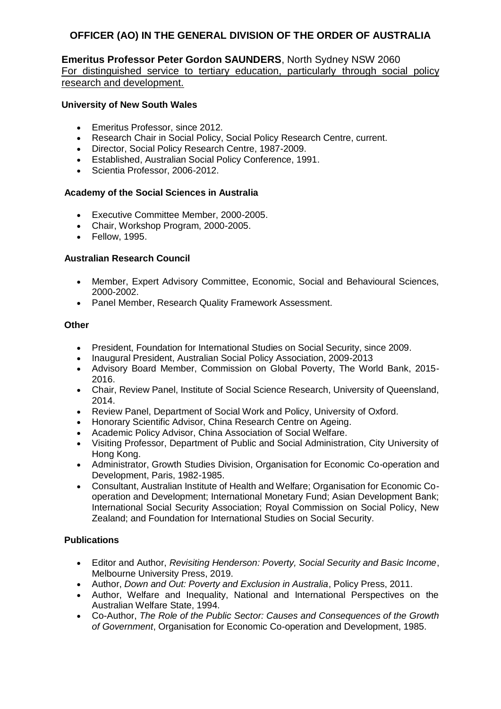### **Emeritus Professor Peter Gordon SAUNDERS**, North Sydney NSW 2060 For distinguished service to tertiary education, particularly through social policy research and development.

#### **University of New South Wales**

- Emeritus Professor, since 2012.
- Research Chair in Social Policy, Social Policy Research Centre, current.
- Director, Social Policy Research Centre, 1987-2009.
- Established, Australian Social Policy Conference, 1991.
- Scientia Professor, 2006-2012.

#### **Academy of the Social Sciences in Australia**

- Executive Committee Member, 2000-2005.
- Chair, Workshop Program, 2000-2005.
- Fellow, 1995.

## **Australian Research Council**

- Member, Expert Advisory Committee, Economic, Social and Behavioural Sciences, 2000-2002.
- Panel Member, Research Quality Framework Assessment.

#### **Other**

- President, Foundation for International Studies on Social Security, since 2009.
- Inaugural President, Australian Social Policy Association, 2009-2013
- Advisory Board Member, Commission on Global Poverty, The World Bank, 2015- 2016.
- Chair, Review Panel, Institute of Social Science Research, University of Queensland, 2014.
- Review Panel, Department of Social Work and Policy, University of Oxford.
- Honorary Scientific Advisor, China Research Centre on Ageing.
- Academic Policy Advisor, China Association of Social Welfare.
- Visiting Professor, Department of Public and Social Administration, City University of Hong Kong.
- Administrator, Growth Studies Division, Organisation for Economic Co-operation and Development, Paris, 1982-1985.
- Consultant, Australian Institute of Health and Welfare; Organisation for Economic Cooperation and Development; International Monetary Fund; Asian Development Bank; International Social Security Association; Royal Commission on Social Policy, New Zealand; and Foundation for International Studies on Social Security.

#### **Publications**

- Editor and Author, *Revisiting Henderson: Poverty, Social Security and Basic Income*, Melbourne University Press, 2019.
- Author, *Down and Out: Poverty and Exclusion in Australia*, Policy Press, 2011.
- Author, Welfare and Inequality, National and International Perspectives on the Australian Welfare State, 1994.
- Co-Author, *The Role of the Public Sector: Causes and Consequences of the Growth of Government*, Organisation for Economic Co-operation and Development, 1985.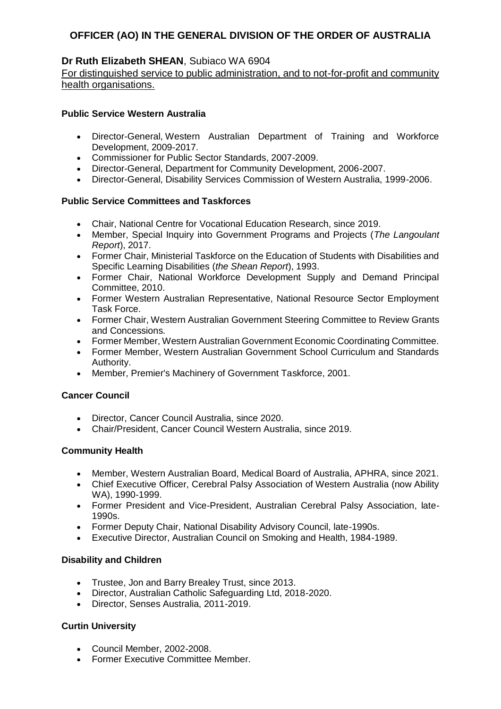## **Dr Ruth Elizabeth SHEAN**, Subiaco WA 6904

For distinguished service to public administration, and to not-for-profit and community health organisations.

## **Public Service Western Australia**

- Director-General, Western Australian Department of Training and Workforce Development, 2009-2017.
- Commissioner for Public Sector Standards, 2007-2009.
- Director-General, Department for Community Development, 2006-2007.
- Director-General, Disability Services Commission of Western Australia, 1999-2006.

## **Public Service Committees and Taskforces**

- Chair, National Centre for Vocational Education Research, since 2019.
- Member, Special Inquiry into Government Programs and Projects (*The Langoulant Report*), 2017.
- Former Chair, Ministerial Taskforce on the Education of Students with Disabilities and Specific Learning Disabilities (*the Shean Report*), 1993.
- Former Chair, National Workforce Development Supply and Demand Principal Committee, 2010.
- Former Western Australian Representative, National Resource Sector Employment Task Force.
- Former Chair, Western Australian Government Steering Committee to Review Grants and Concessions.
- Former Member, Western Australian Government Economic Coordinating Committee.
- Former Member, Western Australian Government School Curriculum and Standards Authority.
- Member, Premier's Machinery of Government Taskforce, 2001.

#### **Cancer Council**

- Director, Cancer Council Australia, since 2020.
- Chair/President, Cancer Council Western Australia, since 2019.

#### **Community Health**

- Member, Western Australian Board, Medical Board of Australia, APHRA, since 2021.
- Chief Executive Officer, Cerebral Palsy Association of Western Australia (now Ability WA), 1990-1999.
- Former President and Vice-President, Australian Cerebral Palsy Association, late-1990s.
- Former Deputy Chair, National Disability Advisory Council, late-1990s.
- Executive Director, Australian Council on Smoking and Health, 1984-1989.

#### **Disability and Children**

- Trustee, Jon and Barry Brealey Trust, since 2013.
- Director, Australian Catholic Safeguarding Ltd, 2018-2020.
- Director, Senses Australia, 2011-2019.

## **Curtin University**

- Council Member, 2002-2008.
- Former Executive Committee Member.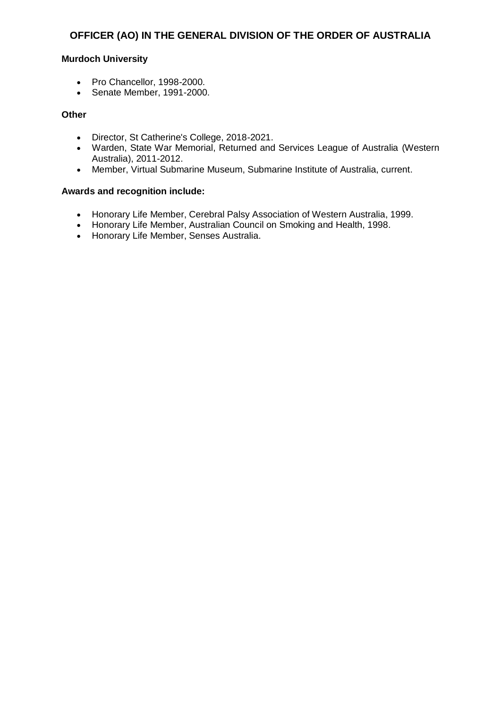#### **Murdoch University**

- Pro Chancellor, 1998-2000.
- Senate Member, 1991-2000.

#### **Other**

- Director, St Catherine's College, 2018-2021.
- Warden, State War Memorial, Returned and Services League of Australia (Western Australia), 2011-2012.
- Member, Virtual Submarine Museum, Submarine Institute of Australia, current.

- Honorary Life Member, Cerebral Palsy Association of Western Australia, 1999.
- Honorary Life Member, Australian Council on Smoking and Health, 1998.
- Honorary Life Member, Senses Australia.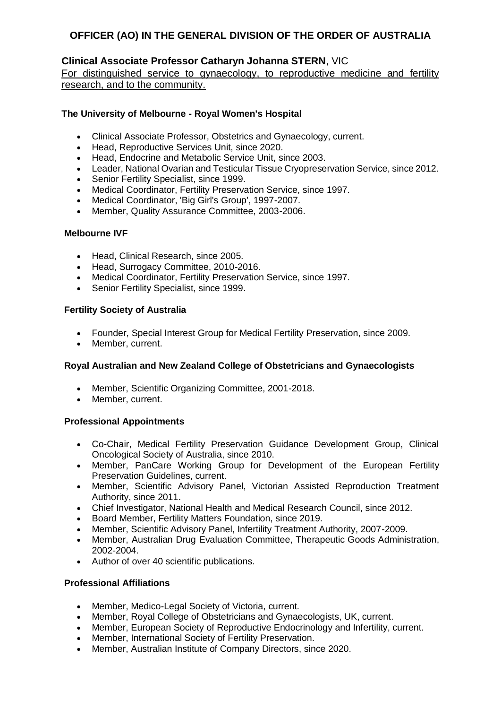## **Clinical Associate Professor Catharyn Johanna STERN**, VIC

For distinguished service to gynaecology, to reproductive medicine and fertility research, and to the community.

## **The University of Melbourne - Royal Women's Hospital**

- Clinical Associate Professor, Obstetrics and Gynaecology, current.
- Head, Reproductive Services Unit, since 2020.
- Head, Endocrine and Metabolic Service Unit, since 2003.
- Leader, National Ovarian and Testicular Tissue Cryopreservation Service, since 2012.
- Senior Fertility Specialist, since 1999.
- Medical Coordinator, Fertility Preservation Service, since 1997.
- Medical Coordinator, 'Big Girl's Group', 1997-2007.
- Member, Quality Assurance Committee, 2003-2006.

#### **Melbourne IVF**

- Head, Clinical Research, since 2005.
- Head, Surrogacy Committee, 2010-2016.
- Medical Coordinator, Fertility Preservation Service, since 1997.
- Senior Fertility Specialist, since 1999.

#### **Fertility Society of Australia**

- Founder, Special Interest Group for Medical Fertility Preservation, since 2009.
- Member, current.

#### **Royal Australian and New Zealand College of Obstetricians and Gynaecologists**

- Member, Scientific Organizing Committee, 2001-2018.
- Member, current.

## **Professional Appointments**

- Co-Chair, Medical Fertility Preservation Guidance Development Group, Clinical Oncological Society of Australia, since 2010.
- Member, PanCare Working Group for Development of the European Fertility Preservation Guidelines, current.
- Member, Scientific Advisory Panel, Victorian Assisted Reproduction Treatment Authority, since 2011.
- Chief Investigator, National Health and Medical Research Council, since 2012.
- Board Member, Fertility Matters Foundation, since 2019.
- Member, Scientific Advisory Panel, Infertility Treatment Authority, 2007-2009.
- Member, Australian Drug Evaluation Committee, Therapeutic Goods Administration, 2002-2004.
- Author of over 40 scientific publications.

#### **Professional Affiliations**

- Member, Medico-Legal Society of Victoria, current.
- Member, Royal College of Obstetricians and Gynaecologists, UK, current.
- Member, European Society of Reproductive Endocrinology and Infertility, current.
- Member, International Society of Fertility Preservation.
- Member, Australian Institute of Company Directors, since 2020.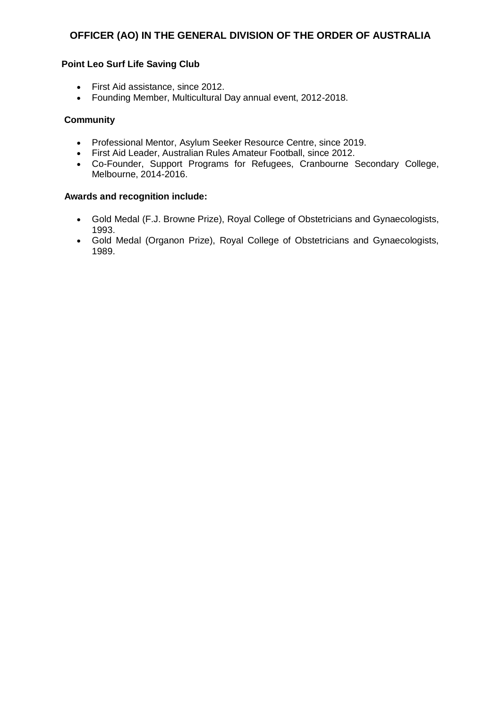#### **Point Leo Surf Life Saving Club**

- First Aid assistance, since 2012.
- Founding Member, Multicultural Day annual event, 2012-2018.

## **Community**

- Professional Mentor, Asylum Seeker Resource Centre, since 2019.
- First Aid Leader, Australian Rules Amateur Football, since 2012.
- Co-Founder, Support Programs for Refugees, Cranbourne Secondary College, Melbourne, 2014-2016.

- Gold Medal (F.J. Browne Prize), Royal College of Obstetricians and Gynaecologists, 1993.
- Gold Medal (Organon Prize), Royal College of Obstetricians and Gynaecologists, 1989.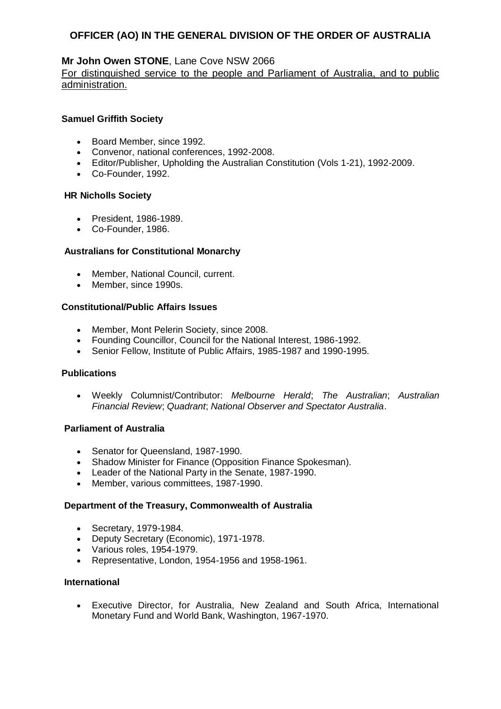## **Mr John Owen STONE**, Lane Cove NSW 2066

## For distinguished service to the people and Parliament of Australia, and to public administration.

#### **Samuel Griffith Society**

- Board Member, since 1992.
- Convenor, national conferences, 1992-2008.
- Editor/Publisher, Upholding the Australian Constitution (Vols 1-21), 1992-2009.
- Co-Founder, 1992.

#### **HR Nicholls Society**

- President, 1986-1989.
- Co-Founder, 1986.

#### **Australians for Constitutional Monarchy**

- Member, National Council, current.
- Member, since 1990s.

## **Constitutional/Public Affairs Issues**

- Member, Mont Pelerin Society, since 2008.
- Founding Councillor, Council for the National Interest, 1986-1992.
- Senior Fellow, Institute of Public Affairs, 1985-1987 and 1990-1995.

#### **Publications**

 Weekly Columnist/Contributor: *Melbourne Herald*; *The Australian*; *Australian Financial Review*; *Quadrant*; *National Observer and Spectator Australia*.

#### **Parliament of Australia**

- Senator for Queensland, 1987-1990.
- Shadow Minister for Finance (Opposition Finance Spokesman).
- Leader of the National Party in the Senate, 1987-1990.
- Member, various committees, 1987-1990.

#### **Department of the Treasury, Commonwealth of Australia**

- Secretary, 1979-1984.
- Deputy Secretary (Economic), 1971-1978.
- Various roles, 1954-1979.
- Representative, London, 1954-1956 and 1958-1961.

#### **International**

 Executive Director, for Australia, New Zealand and South Africa, International Monetary Fund and World Bank, Washington, 1967-1970.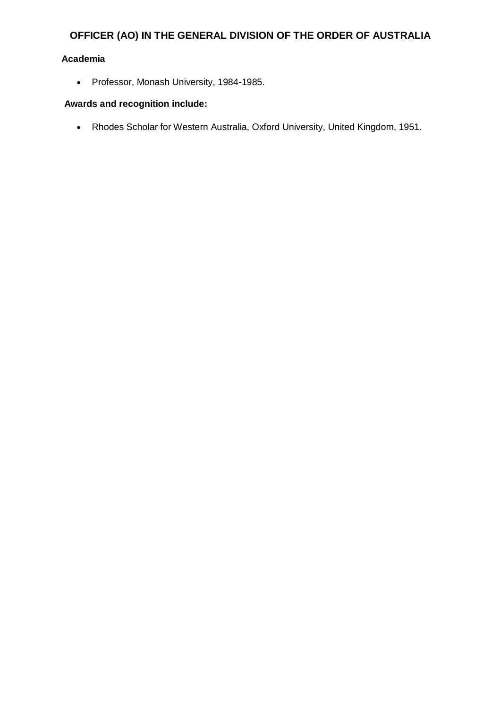## **Academia**

• Professor, Monash University, 1984-1985.

## **Awards and recognition include:**

Rhodes Scholar for Western Australia, Oxford University, United Kingdom, 1951.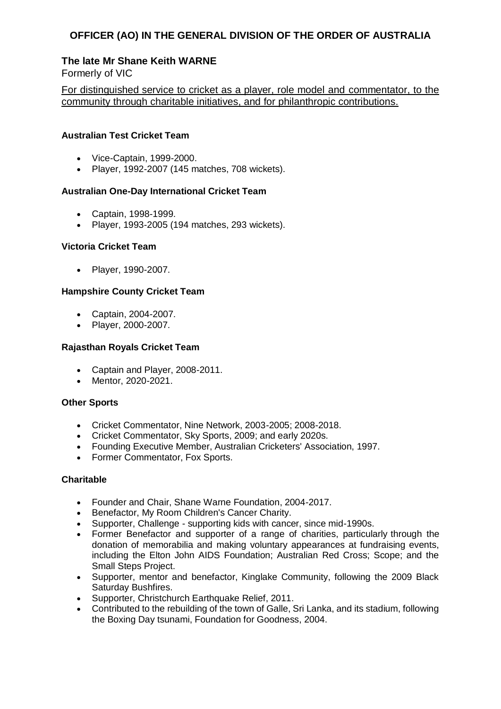## **The late Mr Shane Keith WARNE**

Formerly of VIC

For distinguished service to cricket as a player, role model and commentator, to the community through charitable initiatives, and for philanthropic contributions.

### **Australian Test Cricket Team**

- Vice-Captain, 1999-2000.
- Player, 1992-2007 (145 matches, 708 wickets).

## **Australian One-Day International Cricket Team**

- Captain, 1998-1999.
- Player, 1993-2005 (194 matches, 293 wickets).

#### **Victoria Cricket Team**

• Player, 1990-2007.

## **Hampshire County Cricket Team**

- Captain, 2004-2007.
- Player, 2000-2007.

## **Rajasthan Royals Cricket Team**

- Captain and Player, 2008-2011.
- Mentor, 2020-2021.

#### **Other Sports**

- Cricket Commentator, Nine Network, 2003-2005; 2008-2018.
- Cricket Commentator, Sky Sports, 2009; and early 2020s.
- Founding Executive Member, Australian Cricketers' Association, 1997.
- Former Commentator, Fox Sports.

#### **Charitable**

- Founder and Chair, Shane Warne Foundation, 2004-2017.
- Benefactor, My Room Children's Cancer Charity.
- Supporter, Challenge supporting kids with cancer, since mid-1990s.
- Former Benefactor and supporter of a range of charities, particularly through the donation of memorabilia and making voluntary appearances at fundraising events, including the Elton John AIDS Foundation; Australian Red Cross; Scope; and the Small Steps Project.
- Supporter, mentor and benefactor, Kinglake Community, following the 2009 Black Saturday Bushfires.
- Supporter, Christchurch Earthquake Relief, 2011.
- Contributed to the rebuilding of the town of Galle, Sri Lanka, and its stadium, following the Boxing Day tsunami, Foundation for Goodness, 2004.